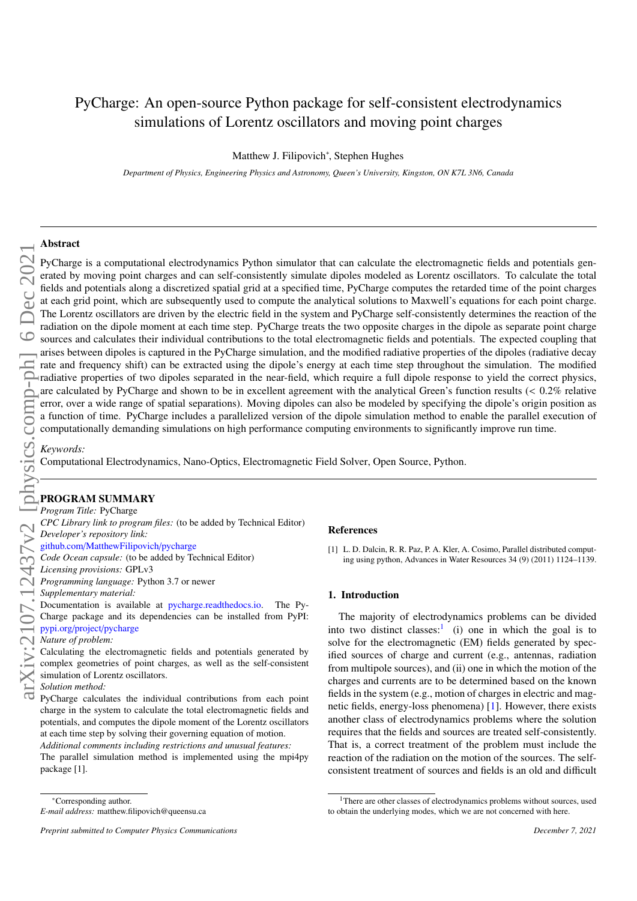# PyCharge: An open-source Python package for self-consistent electrodynamics simulations of Lorentz oscillators and moving point charges

Matthew J. Filipovich<sup>∗</sup> , Stephen Hughes

*Department of Physics, Engineering Physics and Astronomy, Queen's University, Kingston, ON K7L 3N6, Canada*

# Abstract

arXiv:2107.12437v2 [physics.comp-ph] 6 Dec 2021

PyCharge is a computational electrodynamics Python simulator that can calculate the electromagnetic fields and potentials generated by moving point charges and can self-consistently simulate dipoles modeled as Lorentz oscillators. To calculate the total fields and potentials along a discretized spatial grid at a specified time, PyCharge computes the retarded time of the point charges at each grid point, which are subsequently used to compute the analytical solutions to Maxwell's equations for each point charge. The Lorentz oscillators are driven by the electric field in the system and PyCharge self-consistently determines the reaction of the radiation on the dipole moment at each time step. PyCharge treats the two opposite charges in the dipole as separate point charge sources and calculates their individual contributions to the total electromagnetic fields and potentials. The expected coupling that arises between dipoles is captured in the PyCharge simulation, and the modified radiative properties of the dipoles (radiative decay rate and frequency shift) can be extracted using the dipole's energy at each time step throughout the simulation. The modified radiative properties of two dipoles separated in the near-field, which require a full dipole response to yield the correct physics, are calculated by PyCharge and shown to be in excellent agreement with the analytical Green's function results (< 0.2% relative<br>error, over a wide range of spatial separations). Moving dipoles can also be modeled by specif a function of time. PyCharge includes a parallelized version of the dipole simulation method to enable the parallel execution of computationally demanding simulations on high performance computing environments to significantly improve run time.

*Keywords:*

Computational Electrodynamics, Nano-Optics, Electromagnetic Field Solver, Open Source, Python.

# PROGRAM SUMMARY

*Program Title:* PyCharge

- *CPC Library link to program files:* (to be added by Technical Editor)
- *Developer's repository link:*
- github.com/[MatthewFilipovich](https://github.com/MatthewFilipovich/pycharge)/pycharge *Code Ocean capsule:* (to be added by Technical Editor)
- *Licensing provisions:* GPLv3
- *Programming language:* Python 3.7 or newer
- *Supplementary material:*

Documentation is available at [pycharge.readthedocs.io.](https://pycharge.readthedocs.io) The Py-Charge package and its dependencies can be installed from PyPI: pypi.org/project/[pycharge](https://pypi.org/project/pycharge/)

#### *Nature of problem:*

Calculating the electromagnetic fields and potentials generated by complex geometries of point charges, as well as the self-consistent simulation of Lorentz oscillators.

## *Solution method:*

PyCharge calculates the individual contributions from each point charge in the system to calculate the total electromagnetic fields and potentials, and computes the dipole moment of the Lorentz oscillators at each time step by solving their governing equation of motion. *Additional comments including restrictions and unusual features:*

The parallel simulation method is implemented using the mpi4py package [1].

#### References

[1] L. D. Dalcin, R. R. Paz, P. A. Kler, A. Cosimo, Parallel distributed computing using python, Advances in Water Resources 34 (9) (2011) 1124–1139.

#### 1. Introduction

The majority of electrodynamics problems can be divided into two distinct classes:<sup>[1](#page-0-0)</sup> (i) one in which the goal is to solve for the electromagnetic (EM) fields generated by specified sources of charge and current (e.g., antennas, radiation from multipole sources), and (ii) one in which the motion of the charges and currents are to be determined based on the known fields in the system (e.g., motion of charges in electric and magnetic fields, energy-loss phenomena) [\[1\]](#page-12-0). However, there exists another class of electrodynamics problems where the solution requires that the fields and sources are treated self-consistently. That is, a correct treatment of the problem must include the reaction of the radiation on the motion of the sources. The selfconsistent treatment of sources and fields is an old and difficult

<sup>∗</sup>Corresponding author.

*E-mail address:* matthew.filipovich@queensu.ca

*Preprint submitted to Computer Physics Communications December 7, 2021*

<span id="page-0-0"></span><sup>&</sup>lt;sup>1</sup>There are other classes of electrodynamics problems without sources, used to obtain the underlying modes, which we are not concerned with here.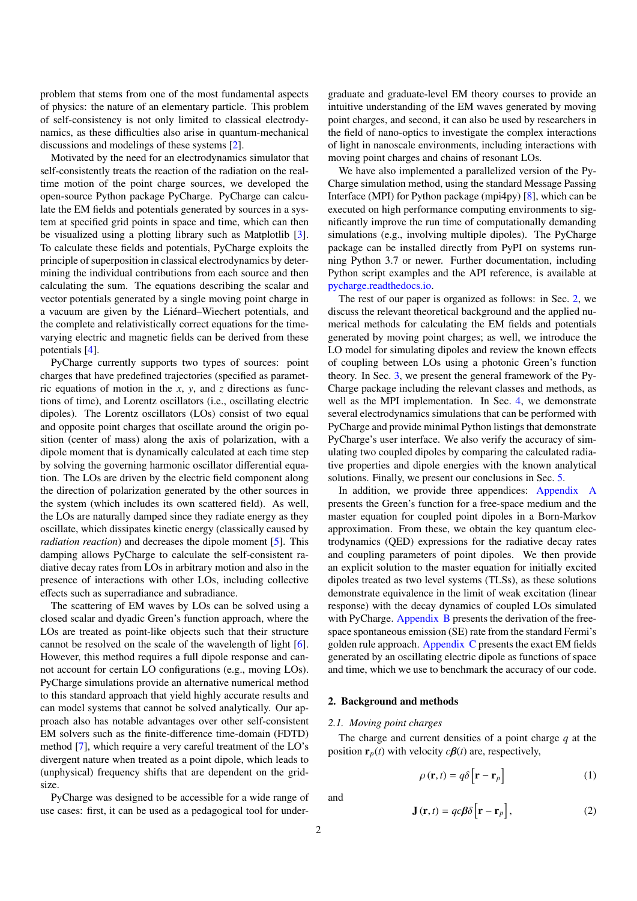problem that stems from one of the most fundamental aspects of physics: the nature of an elementary particle. This problem of self-consistency is not only limited to classical electrodynamics, as these difficulties also arise in quantum-mechanical discussions and modelings of these systems [\[2\]](#page-12-1).

Motivated by the need for an electrodynamics simulator that self-consistently treats the reaction of the radiation on the realtime motion of the point charge sources, we developed the open-source Python package PyCharge. PyCharge can calculate the EM fields and potentials generated by sources in a system at specified grid points in space and time, which can then be visualized using a plotting library such as Matplotlib [\[3\]](#page-12-2). To calculate these fields and potentials, PyCharge exploits the principle of superposition in classical electrodynamics by determining the individual contributions from each source and then calculating the sum. The equations describing the scalar and vector potentials generated by a single moving point charge in a vacuum are given by the Liénard–Wiechert potentials, and the complete and relativistically correct equations for the timevarying electric and magnetic fields can be derived from these potentials [\[4\]](#page-12-3).

PyCharge currently supports two types of sources: point charges that have predefined trajectories (specified as parametric equations of motion in the *x*, *y*, and *z* directions as functions of time), and Lorentz oscillators (i.e., oscillating electric dipoles). The Lorentz oscillators (LOs) consist of two equal and opposite point charges that oscillate around the origin position (center of mass) along the axis of polarization, with a dipole moment that is dynamically calculated at each time step by solving the governing harmonic oscillator differential equation. The LOs are driven by the electric field component along the direction of polarization generated by the other sources in the system (which includes its own scattered field). As well, the LOs are naturally damped since they radiate energy as they oscillate, which dissipates kinetic energy (classically caused by *radiation reaction*) and decreases the dipole moment [\[5\]](#page-12-4). This damping allows PyCharge to calculate the self-consistent radiative decay rates from LOs in arbitrary motion and also in the presence of interactions with other LOs, including collective effects such as superradiance and subradiance.

The scattering of EM waves by LOs can be solved using a closed scalar and dyadic Green's function approach, where the LOs are treated as point-like objects such that their structure cannot be resolved on the scale of the wavelength of light [\[6\]](#page-12-5). However, this method requires a full dipole response and cannot account for certain LO configurations (e.g., moving LOs). PyCharge simulations provide an alternative numerical method to this standard approach that yield highly accurate results and can model systems that cannot be solved analytically. Our approach also has notable advantages over other self-consistent EM solvers such as the finite-difference time-domain (FDTD) method [\[7\]](#page-12-6), which require a very careful treatment of the LO's divergent nature when treated as a point dipole, which leads to (unphysical) frequency shifts that are dependent on the gridsize.

PyCharge was designed to be accessible for a wide range of use cases: first, it can be used as a pedagogical tool for under-

graduate and graduate-level EM theory courses to provide an intuitive understanding of the EM waves generated by moving point charges, and second, it can also be used by researchers in the field of nano-optics to investigate the complex interactions of light in nanoscale environments, including interactions with moving point charges and chains of resonant LOs.

We have also implemented a parallelized version of the Py-Charge simulation method, using the standard Message Passing Interface (MPI) for Python package (mpi4py) [\[8\]](#page-12-7), which can be executed on high performance computing environments to significantly improve the run time of computationally demanding simulations (e.g., involving multiple dipoles). The PyCharge package can be installed directly from PyPI on systems running Python 3.7 or newer. Further documentation, including Python script examples and the API reference, is available at [pycharge.readthedocs.io.](https://pycharge.readthedocs.io)

The rest of our paper is organized as follows: in Sec. [2,](#page-1-0) we discuss the relevant theoretical background and the applied numerical methods for calculating the EM fields and potentials generated by moving point charges; as well, we introduce the LO model for simulating dipoles and review the known effects of coupling between LOs using a photonic Green's function theory. In Sec. [3,](#page-4-0) we present the general framework of the Py-Charge package including the relevant classes and methods, as well as the MPI implementation. In Sec. [4,](#page-7-0) we demonstrate several electrodynamics simulations that can be performed with PyCharge and provide minimal Python listings that demonstrate PyCharge's user interface. We also verify the accuracy of simulating two coupled dipoles by comparing the calculated radiative properties and dipole energies with the known analytical solutions. Finally, we present our conclusions in Sec. [5.](#page-10-0)

In addition, we provide three appendices: [Appendix A](#page-10-1) presents the Green's function for a free-space medium and the master equation for coupled point dipoles in a Born-Markov approximation. From these, we obtain the key quantum electrodynamics (QED) expressions for the radiative decay rates and coupling parameters of point dipoles. We then provide an explicit solution to the master equation for initially excited dipoles treated as two level systems (TLSs), as these solutions demonstrate equivalence in the limit of weak excitation (linear response) with the decay dynamics of coupled LOs simulated with PyCharge. [Appendix B](#page-12-8) presents the derivation of the freespace spontaneous emission (SE) rate from the standard Fermi's golden rule approach. [Appendix C](#page-12-9) presents the exact EM fields generated by an oscillating electric dipole as functions of space and time, which we use to benchmark the accuracy of our code.

#### <span id="page-1-0"></span>2. Background and methods

#### *2.1. Moving point charges*

The charge and current densities of a point charge *q* at the position  $\mathbf{r}_p(t)$  with velocity  $c\beta(t)$  are, respectively,

$$
\rho(\mathbf{r},t) = q\delta\left[\mathbf{r} - \mathbf{r}_p\right]
$$
 (1)

and

$$
\mathbf{J}(\mathbf{r},t) = qc\beta\delta\left[\mathbf{r} - \mathbf{r}_p\right],\tag{2}
$$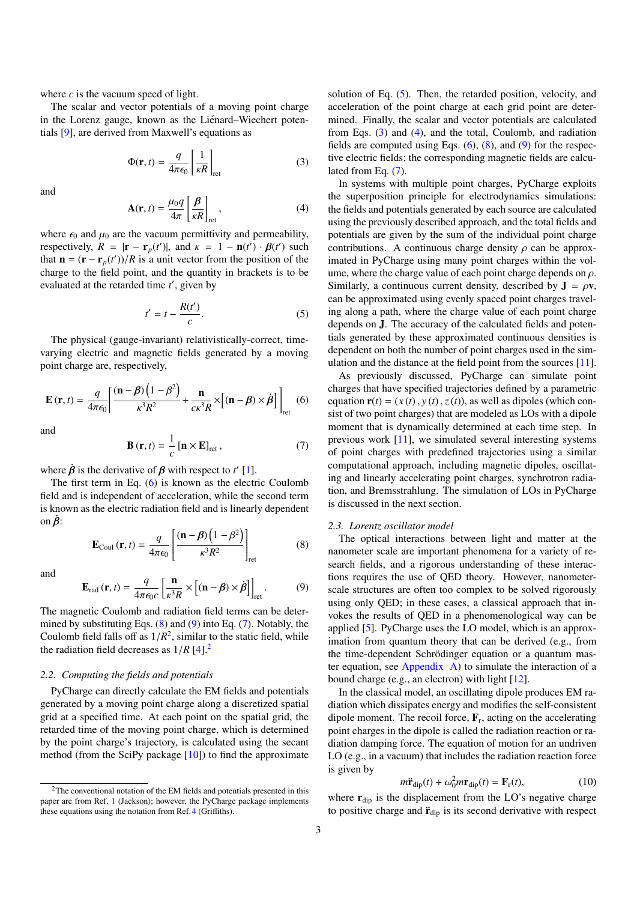where *c* is the vacuum speed of light.

The scalar and vector potentials of a moving point charge in the Lorenz gauge, known as the Liénard–Wiechert potentials [\[9\]](#page-12-10), are derived from Maxwell's equations as

<span id="page-2-6"></span>
$$
\Phi(\mathbf{r},t) = \frac{q}{4\pi\epsilon_0} \left[ \frac{1}{\kappa R} \right]_{\text{ret}}
$$
 (3)

and

<span id="page-2-7"></span>
$$
\mathbf{A}(\mathbf{r},t) = \frac{\mu_0 q}{4\pi} \left[ \frac{\beta}{\kappa R} \right]_{\text{ret}},
$$
 (4)

where  $\epsilon_0$  and  $\mu_0$  are the vacuum permittivity and permeability, respectively,  $R = |\mathbf{r} - \mathbf{r}_p(t')|$ , and  $\kappa = 1 - \mathbf{n}(t') \cdot \beta(t')$  such that  $\mathbf{n} - (\mathbf{r} - \mathbf{r} - (t'))/R$  is a unit vector from the position of the that  $\mathbf{n} = (\mathbf{r} - \mathbf{r}_p(t'))/R$  is a unit vector from the position of the charge to the field point, and the quantity in brackets is to be charge to the field point, and the quantity in brackets is to be evaluated at the retarded time t', given by

<span id="page-2-5"></span>
$$
t' = t - \frac{R(t')}{c}.
$$
 (5)

The physical (gauge-invariant) relativistically-correct, timevarying electric and magnetic fields generated by a moving point charge are, respectively,

<span id="page-2-0"></span>
$$
\mathbf{E}(\mathbf{r},t) = \frac{q}{4\pi\epsilon_0} \left[ \frac{(\mathbf{n} - \boldsymbol{\beta}) \left( 1 - \boldsymbol{\beta}^2 \right)}{\kappa^3 R^2} + \frac{\mathbf{n}}{c\kappa^3 R} \times \left[ (\mathbf{n} - \boldsymbol{\beta}) \times \boldsymbol{\dot{\beta}} \right] \right]_{\text{ret}} \tag{6}
$$

and

<span id="page-2-3"></span>
$$
\mathbf{B}(\mathbf{r},t) = \frac{1}{c} [\mathbf{n} \times \mathbf{E}]_{\text{ret}},
$$
 (7)

where  $\dot{\beta}$  is the derivative of  $\beta$  with respect to *t'* [\[1\]](#page-12-0).<br>The first term in Eq. (6) is known as the electric

The first term in Eq. [\(6\)](#page-2-0) is known as the electric Coulomb field and is independent of acceleration, while the second term is known as the electric radiation field and is linearly dependent on  $\hat{\beta}$ :

<span id="page-2-1"></span>
$$
\mathbf{E}_{\text{Coul}}\left(\mathbf{r},t\right) = \frac{q}{4\pi\epsilon_0} \left[ \frac{\left(\mathbf{n} - \boldsymbol{\beta}\right)\left(1 - \boldsymbol{\beta}^2\right)}{\kappa^3 R^2} \right]_{\text{ret}}\tag{8}
$$

and

<span id="page-2-2"></span>
$$
\mathbf{E}_{\text{rad}}\left(\mathbf{r},t\right) = \frac{q}{4\pi\epsilon_0 c} \left[\frac{\mathbf{n}}{\kappa^3 R} \times \left[\left(\mathbf{n} - \boldsymbol{\beta}\right) \times \dot{\boldsymbol{\beta}}\right]\right]_{\text{ret}}.\tag{9}
$$
\nThe magnetic Coulomb and radiation field terms can be deter-

mined by substituting Eqs.  $(8)$  and  $(9)$  into Eq.  $(7)$ . Notably, the Coulomb field falls off as  $1/R^2$ , similar to the static field, while<br>the radiation field decreases as  $1/R$   $[4]$ <sup>2</sup> the radiation field decreases as  $1/R$  [\[4\]](#page-12-3).<sup>[2](#page-2-4)</sup>

# <span id="page-2-8"></span>*2.2. Computing the fields and potentials*

PyCharge can directly calculate the EM fields and potentials generated by a moving point charge along a discretized spatial grid at a specified time. At each point on the spatial grid, the retarded time of the moving point charge, which is determined by the point charge's trajectory, is calculated using the secant method (from the SciPy package [\[10\]](#page-12-11)) to find the approximate

solution of Eq. [\(5\)](#page-2-5). Then, the retarded position, velocity, and acceleration of the point charge at each grid point are determined. Finally, the scalar and vector potentials are calculated from Eqs. [\(3\)](#page-2-6) and [\(4\)](#page-2-7), and the total, Coulomb, and radiation fields are computed using Eqs.  $(6)$ ,  $(8)$ , and  $(9)$  for the respective electric fields; the corresponding magnetic fields are calculated from Eq. [\(7\)](#page-2-3).

In systems with multiple point charges, PyCharge exploits the superposition principle for electrodynamics simulations: the fields and potentials generated by each source are calculated using the previously described approach, and the total fields and potentials are given by the sum of the individual point charge contributions. A continuous charge density  $\rho$  can be approximated in PyCharge using many point charges within the volume, where the charge value of each point charge depends on  $\rho$ . Similarly, a continuous current density, described by  $J = \rho v$ , can be approximated using evenly spaced point charges traveling along a path, where the charge value of each point charge depends on J. The accuracy of the calculated fields and potentials generated by these approximated continuous densities is dependent on both the number of point charges used in the simulation and the distance at the field point from the sources [\[11\]](#page-12-12).

As previously discussed, PyCharge can simulate point charges that have specified trajectories defined by a parametric equation  $\mathbf{r}(t) = (x(t), y(t), z(t))$ , as well as dipoles (which consist of two point charges) that are modeled as LOs with a dipole moment that is dynamically determined at each time step. In previous work [\[11\]](#page-12-12), we simulated several interesting systems of point charges with predefined trajectories using a similar computational approach, including magnetic dipoles, oscillating and linearly accelerating point charges, synchrotron radiation, and Bremsstrahlung. The simulation of LOs in PyCharge is discussed in the next section.

#### *2.3. Lorentz oscillator model*

The optical interactions between light and matter at the nanometer scale are important phenomena for a variety of research fields, and a rigorous understanding of these interactions requires the use of QED theory. However, nanometerscale structures are often too complex to be solved rigorously using only QED; in these cases, a classical approach that invokes the results of QED in a phenomenological way can be applied [\[5\]](#page-12-4). PyCharge uses the LO model, which is an approximation from quantum theory that can be derived (e.g., from the time-dependent Schrödinger equation or a quantum master equation, see [Appendix A\)](#page-10-1) to simulate the interaction of a bound charge (e.g., an electron) with light [\[12\]](#page-12-13).

In the classical model, an oscillating dipole produces EM radiation which dissipates energy and modifies the self-consistent dipole moment. The recoil force,  $\mathbf{F}_r$ , acting on the accelerating point charges in the dipole is called the radiation reaction or radiation damping force. The equation of motion for an undriven LO (e.g., in a vacuum) that includes the radiation reaction force is given by

$$
m\ddot{\mathbf{r}}_{\text{dip}}(t) + \omega_0^2 m \mathbf{r}_{\text{dip}}(t) = \mathbf{F}_{\text{r}}(t),\tag{10}
$$

where  $r_{\text{dip}}$  is the displacement from the LO's negative charge to positive charge and  $\ddot{\mathbf{r}}_{\text{dip}}$  is its second derivative with respect

<span id="page-2-4"></span><sup>&</sup>lt;sup>2</sup>The conventional notation of the EM fields and potentials presented in this paper are from Ref. [1](#page-12-0) (Jackson); however, the PyCharge package implements these equations using the notation from Ref.[4](#page-12-3) (Griffiths).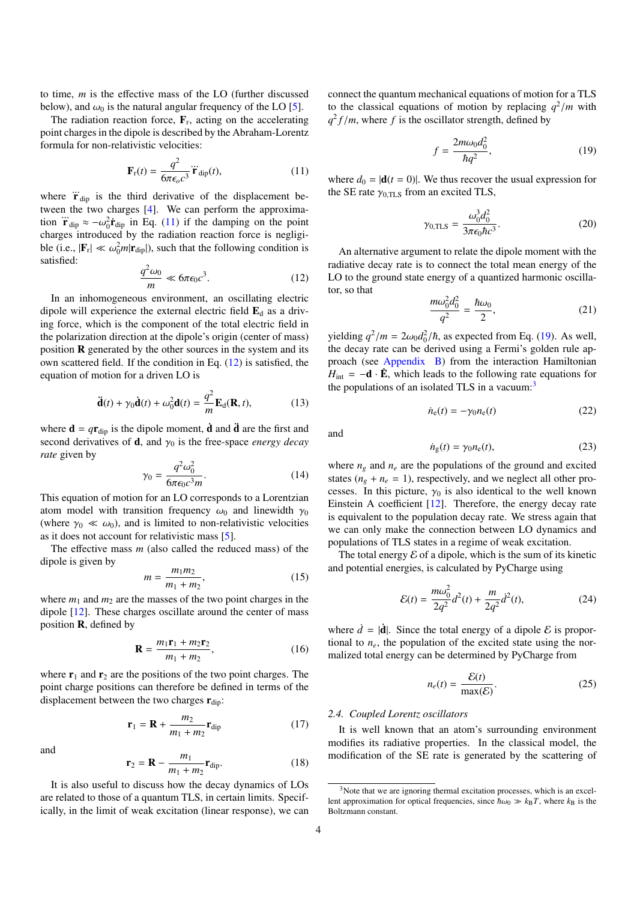to time, *m* is the effective mass of the LO (further discussed below), and  $\omega_0$  is the natural angular frequency of the LO [\[5\]](#page-12-4).

The radiation reaction force,  $\mathbf{F}_r$ , acting on the accelerating point charges in the dipole is described by the Abraham-Lorentz formula for non-relativistic velocities:

<span id="page-3-0"></span>
$$
\mathbf{F}_{\rm r}(t) = \frac{q^2}{6\pi\epsilon_o c^3} \ddot{\mathbf{r}}_{\rm dip}(t),\tag{11}
$$

where  $\ddot{\mathbf{r}}_{\text{dip}}$  is the third derivative of the displacement between the two charges [\[4\]](#page-12-3). We can perform the approximation  $\ddot{\mathbf{r}}_{dip} \approx -\omega_0^2 \dot{\mathbf{r}}_{dip}$  in Eq. [\(11\)](#page-3-0) if the damping on the point charges introduced by the radiation reaction force is negligicharges introduced by the radiation reaction force is negligible (i.e.,  $|\mathbf{F}_r| \ll \omega_0^2 m |\mathbf{r}_{\text{dip}}|$ ), such that the following condition is satisfied: satisfied:

<span id="page-3-1"></span>
$$
\frac{q^2\omega_0}{m} \ll 6\pi\epsilon_0 c^3.
$$
 (12)

In an inhomogeneous environment, an oscillating electric dipole will experience the external electric field  $\mathbf{E}_{d}$  as a driving force, which is the component of the total electric field in the polarization direction at the dipole's origin (center of mass) position R generated by the other sources in the system and its own scattered field. If the condition in Eq. [\(12\)](#page-3-1) is satisfied, the equation of motion for a driven LO is

<span id="page-3-6"></span>
$$
\ddot{\mathbf{d}}(t) + \gamma_0 \dot{\mathbf{d}}(t) + \omega_0^2 \mathbf{d}(t) = \frac{q^2}{m} \mathbf{E}_{\mathbf{d}}(\mathbf{R}, t),
$$
 (13)

where  $\mathbf{d} = q \mathbf{r}_{\text{dip}}$  is the dipole moment,  $\mathbf{d}$  and  $\mathbf{\ddot{d}}$  are the first and second derivatives of  $\mathbf{d}$ , and  $\gamma_0$  is the free-space *energy decay rate* given by

$$
\gamma_0 = \frac{q^2 \omega_0^2}{6\pi\epsilon_0 c^3 m}.\tag{14}
$$

 $6\pi\epsilon_0 c^3 m$ <br>This equation of motion for an LO corresponds to a Lorentzian atom model with transition frequency  $\omega_0$  and linewidth  $\gamma_0$ (where  $\gamma_0 \ll \omega_0$ ), and is limited to non-relativistic velocities as it does not account for relativistic mass [\[5\]](#page-12-4).

The effective mass *m* (also called the reduced mass) of the dipole is given by

<span id="page-3-9"></span>
$$
m = \frac{m_1 m_2}{m_1 + m_2},\tag{15}
$$

where  $m_1$  and  $m_2$  are the masses of the two point charges in the dipole [\[12\]](#page-12-13). These charges oscillate around the center of mass position **, defined by** 

$$
\mathbf{R} = \frac{m_1 \mathbf{r}_1 + m_2 \mathbf{r}_2}{m_1 + m_2},\tag{16}
$$

where  $r_1$  and  $r_2$  are the positions of the two point charges. The point charge positions can therefore be defined in terms of the displacement between the two charges  $\mathbf{r}_{\text{dip}}$ :

<span id="page-3-7"></span>
$$
\mathbf{r}_1 = \mathbf{R} + \frac{m_2}{m_1 + m_2} \mathbf{r}_{\text{dip}} \tag{17}
$$

and

<span id="page-3-8"></span>
$$
\mathbf{r}_2 = \mathbf{R} - \frac{m_1}{m_1 + m_2} \mathbf{r}_{\text{dip}}.
$$
 (18)

It is also useful to discuss how the decay dynamics of LOs are related to those of a quantum TLS, in certain limits. Specifically, in the limit of weak excitation (linear response), we can connect the quantum mechanical equations of motion for a TLS to the classical equations of motion by replacing  $q^2/m$  with  $q^2 f/m$  where f is the oscillator strength defined by  $q^2 f/m$ , where *f* is the oscillator strength, defined by

<span id="page-3-2"></span>
$$
f = \frac{2m\omega_0 d_0^2}{\hbar q^2},\tag{19}
$$

where  $d_0 = |\mathbf{d}(t = 0)|$ . We thus recover the usual expression for the SE rate  $\gamma_{0,\text{TLS}}$  from an excited TLS,

<span id="page-3-11"></span>
$$
\gamma_{0,\text{TLS}} = \frac{\omega_0^3 d_0^2}{3\pi \epsilon_0 \hbar c^3}.
$$
\n(20)

An alternative argument to relate the dipole moment with the radiative decay rate is to connect the total mean energy of the LO to the ground state energy of a quantized harmonic oscillator, so that

$$
\frac{m\omega_0^2 d_0^2}{q^2} = \frac{\hbar \omega_0}{2},\tag{21}
$$

yielding  $q^2/m = 2\omega_0 d_0^2/\hbar$ , as expected from Eq. [\(19\)](#page-3-2). As well, the decay rate can be derived using a Fermi's golden rule and the decay rate can be derived using a Fermi's golden rule approach (see [Appendix B\)](#page-12-8) from the interaction Hamiltonian  $H_{\text{int}} = -d \cdot \hat{E}$ , which leads to the following rate equations for the populations of an isolated TLS in a vacuum: $3$ 

$$
\dot{n}_{e}(t) = -\gamma_{0}n_{e}(t) \tag{22}
$$

and

$$
\dot{n}_{\rm g}(t) = \gamma_0 n_{\rm e}(t),\tag{23}
$$

where  $n_g$  and  $n_e$  are the populations of the ground and excited states  $(n_g + n_e = 1)$ , respectively, and we neglect all other processes. In this picture,  $\gamma_0$  is also identical to the well known Einstein A coefficient [\[12\]](#page-12-13). Therefore, the energy decay rate is equivalent to the population decay rate. We stress again that we can only make the connection between LO dynamics and populations of TLS states in a regime of weak excitation.

The total energy  $\mathcal E$  of a dipole, which is the sum of its kinetic and potential energies, is calculated by PyCharge using

<span id="page-3-5"></span>
$$
\mathcal{E}(t) = \frac{m\omega_0^2}{2q^2}d^2(t) + \frac{m}{2q^2}d^2(t),
$$
\n(24)

where  $\dot{d} = |\dot{\mathbf{d}}|$ . Since the total energy of a dipole  $\mathcal E$  is proportional to  $n_e$ , the population of the excited state using the normalized total energy can be determined by PyCharge from

<span id="page-3-4"></span>
$$
n_e(t) = \frac{\mathcal{E}(t)}{\max(\mathcal{E})}.
$$
 (25)

#### <span id="page-3-10"></span>*2.4. Coupled Lorentz oscillators*

It is well known that an atom's surrounding environment modifies its radiative properties. In the classical model, the modification of the SE rate is generated by the scattering of

<span id="page-3-3"></span><sup>&</sup>lt;sup>3</sup>Note that we are ignoring thermal excitation processes, which is an excellent approximation for optical frequencies, since  $\hbar \omega_0 \gg k_B T$ , where  $k_B$  is the Boltzmann constant.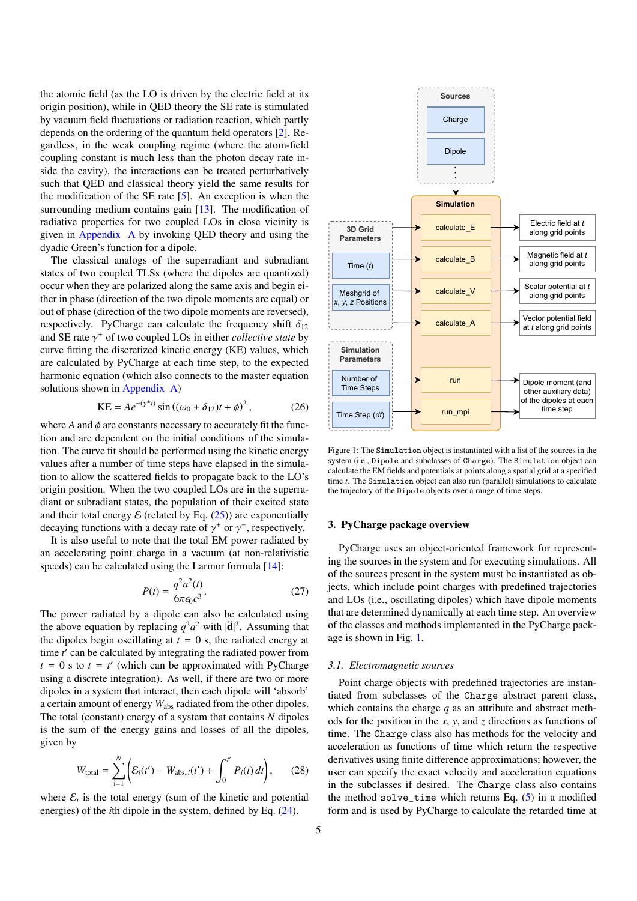the atomic field (as the LO is driven by the electric field at its origin position), while in QED theory the SE rate is stimulated by vacuum field fluctuations or radiation reaction, which partly depends on the ordering of the quantum field operators [\[2\]](#page-12-1). Regardless, in the weak coupling regime (where the atom-field coupling constant is much less than the photon decay rate inside the cavity), the interactions can be treated perturbatively such that QED and classical theory yield the same results for the modification of the SE rate  $[5]$ . An exception is when the surrounding medium contains gain [\[13\]](#page-12-14). The modification of radiative properties for two coupled LOs in close vicinity is given in [Appendix A](#page-10-1) by invoking QED theory and using the dyadic Green's function for a dipole.

The classical analogs of the superradiant and subradiant states of two coupled TLSs (where the dipoles are quantized) occur when they are polarized along the same axis and begin either in phase (direction of the two dipole moments are equal) or out of phase (direction of the two dipole moments are reversed), respectively. PyCharge can calculate the frequency shift  $\delta_{12}$ and SE rate  $\gamma^{\pm}$  of two coupled LOs in either *collective state* by curve fitting the discretized kinetic energy (KF) values, which curve fitting the discretized kinetic energy (KE) values, which are calculated by PyCharge at each time step, to the expected harmonic equation (which also connects to the master equation solutions shown in [Appendix A\)](#page-10-1)

$$
KE = Ae^{-(\gamma^*t)} \sin ((\omega_0 \pm \delta_{12})t + \phi)^2, \qquad (26)
$$

where  $A$  and  $\phi$  are constants necessary to accurately fit the function and are dependent on the initial conditions of the simulation. The curve fit should be performed using the kinetic energy values after a number of time steps have elapsed in the simulation to allow the scattered fields to propagate back to the LO's origin position. When the two coupled LOs are in the superradiant or subradiant states, the population of their excited state and their total energy  $\mathcal E$  (related by Eq. [\(25\)](#page-3-4)) are exponentially decaying functions with a decay rate of  $\gamma^+$  or  $\gamma^-$ , respectively.<br>It is also useful to note that the total EM nower radiated by

It is also useful to note that the total EM power radiated by an accelerating point charge in a vacuum (at non-relativistic speeds) can be calculated using the Larmor formula [\[14\]](#page-12-15):

$$
P(t) = \frac{q^2 a^2(t)}{6\pi \epsilon_0 c^3}.
$$
 (27)

The power radiated by a dipole can also be calculated using the above equation by replacing  $q^2a^2$  with  $|\mathbf{\ddot{d}}|^2$ . Assuming that the dipoles begin oscillating at  $t = 0$  s, the radiated energy at time *t'* can be calculated by integrating the radiated power from  $t = 0$  s to  $t = t'$  (which can be approximated with PyCharge using a discrete integration). As well, if there are two or more dipoles in a system that interact, then each dipole will 'absorb' a certain amount of energy *W*abs radiated from the other dipoles. The total (constant) energy of a system that contains *N* dipoles is the sum of the energy gains and losses of all the dipoles, given by

$$
W_{\text{total}} = \sum_{i=1}^{N} \left( \mathcal{E}_i(t') - W_{\text{abs},i}(t') + \int_0^{t'} P_i(t) dt \right), \qquad (28)
$$

where  $\mathcal{E}_i$  is the total energy (sum of the kinetic and potential energies) of the *i*th dipole in the system, defined by Eq. [\(24\)](#page-3-5).



<span id="page-4-1"></span>Figure 1: The Simulation object is instantiated with a list of the sources in the system (i.e., Dipole and subclasses of Charge). The Simulation object can calculate the EM fields and potentials at points along a spatial grid at a specified time *t*. The Simulation object can also run (parallel) simulations to calculate the trajectory of the Dipole objects over a range of time steps.

## <span id="page-4-0"></span>3. PyCharge package overview

PyCharge uses an object-oriented framework for representing the sources in the system and for executing simulations. All of the sources present in the system must be instantiated as objects, which include point charges with predefined trajectories and LOs (i.e., oscillating dipoles) which have dipole moments that are determined dynamically at each time step. An overview of the classes and methods implemented in the PyCharge package is shown in Fig. [1.](#page-4-1)

#### *3.1. Electromagnetic sources*

Point charge objects with predefined trajectories are instantiated from subclasses of the Charge abstract parent class, which contains the charge *q* as an attribute and abstract methods for the position in the *x*, *y*, and *z* directions as functions of time. The Charge class also has methods for the velocity and acceleration as functions of time which return the respective derivatives using finite difference approximations; however, the user can specify the exact velocity and acceleration equations in the subclasses if desired. The Charge class also contains the method solve\_time which returns Eq.  $(5)$  in a modified form and is used by PyCharge to calculate the retarded time at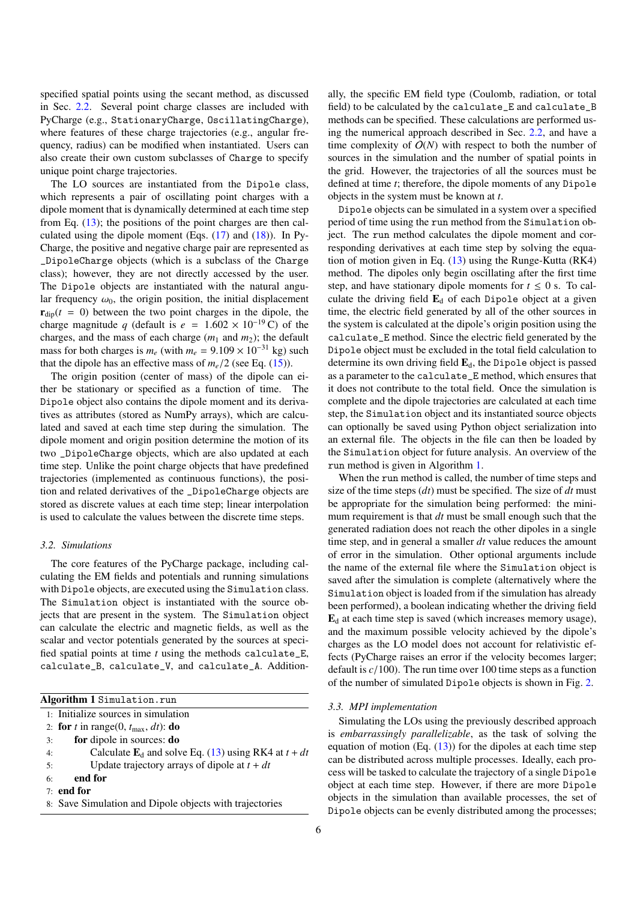specified spatial points using the secant method, as discussed in Sec. [2.2.](#page-2-8) Several point charge classes are included with PyCharge (e.g., StationaryCharge, OscillatingCharge), where features of these charge trajectories (e.g., angular frequency, radius) can be modified when instantiated. Users can also create their own custom subclasses of Charge to specify unique point charge trajectories.

The LO sources are instantiated from the Dipole class, which represents a pair of oscillating point charges with a dipole moment that is dynamically determined at each time step from Eq. [\(13\)](#page-3-6); the positions of the point charges are then calculated using the dipole moment (Eqs.  $(17)$  and  $(18)$ ). In Py-Charge, the positive and negative charge pair are represented as \_DipoleCharge objects (which is a subclass of the Charge class); however, they are not directly accessed by the user. The Dipole objects are instantiated with the natural angular frequency  $\omega_0$ , the origin position, the initial displacement  $\mathbf{r}_{\text{din}}(t = 0)$  between the two point charges in the dipole, the charge magnitude *q* (default is  $e = 1.602 \times 10^{-19}$  C) of the charges, and the mass of each charge  $(m_1 \text{ and } m_2)$ ; the default mass for both charges is  $m_e$  (with  $m_e = 9.109 \times 10^{-31}$  kg) such that the dipole has an effective mass of  $m_e/2$  (see Eq. [\(15\)](#page-3-9)).

The origin position (center of mass) of the dipole can either be stationary or specified as a function of time. The Dipole object also contains the dipole moment and its derivatives as attributes (stored as NumPy arrays), which are calculated and saved at each time step during the simulation. The dipole moment and origin position determine the motion of its two \_DipoleCharge objects, which are also updated at each time step. Unlike the point charge objects that have predefined trajectories (implemented as continuous functions), the position and related derivatives of the \_DipoleCharge objects are stored as discrete values at each time step; linear interpolation is used to calculate the values between the discrete time steps.

# *3.2. Simulations*

The core features of the PyCharge package, including calculating the EM fields and potentials and running simulations with Dipole objects, are executed using the Simulation class. The Simulation object is instantiated with the source objects that are present in the system. The Simulation object can calculate the electric and magnetic fields, as well as the scalar and vector potentials generated by the sources at specified spatial points at time *t* using the methods calculate\_E, calculate\_B, calculate\_V, and calculate\_A. Addition-

<span id="page-5-0"></span>

| Algorithm 1 Simulation.run |                                                                     |  |
|----------------------------|---------------------------------------------------------------------|--|
|                            | 1: Initialize sources in simulation                                 |  |
|                            | 2: for t in range(0, $t_{\text{max}}$ , dt): do                     |  |
| 3:                         | for dipole in sources: do                                           |  |
| 4:                         | Calculate $\mathbf{E}_{d}$ and solve Eq. (13) using RK4 at $t + dt$ |  |
| 5:                         | Update trajectory arrays of dipole at $t + dt$                      |  |
| 6:                         | end for                                                             |  |
|                            | $7:$ end for                                                        |  |
|                            | 8: Save Simulation and Dipole objects with trajectories             |  |

ally, the specific EM field type (Coulomb, radiation, or total field) to be calculated by the calculate\_E and calculate\_B methods can be specified. These calculations are performed using the numerical approach described in Sec. [2.2,](#page-2-8) and have a time complexity of  $O(N)$  with respect to both the number of sources in the simulation and the number of spatial points in the grid. However, the trajectories of all the sources must be defined at time *t*; therefore, the dipole moments of any Dipole objects in the system must be known at *t*.

Dipole objects can be simulated in a system over a specified period of time using the run method from the Simulation object. The run method calculates the dipole moment and corresponding derivatives at each time step by solving the equation of motion given in Eq. [\(13\)](#page-3-6) using the Runge-Kutta (RK4) method. The dipoles only begin oscillating after the first time step, and have stationary dipole moments for  $t \leq 0$  s. To calculate the driving field  $E_d$  of each Dipole object at a given time, the electric field generated by all of the other sources in the system is calculated at the dipole's origin position using the calculate\_E method. Since the electric field generated by the Dipole object must be excluded in the total field calculation to determine its own driving field  $E_d$ , the Dipole object is passed as a parameter to the calculate\_E method, which ensures that it does not contribute to the total field. Once the simulation is complete and the dipole trajectories are calculated at each time step, the Simulation object and its instantiated source objects can optionally be saved using Python object serialization into an external file. The objects in the file can then be loaded by the Simulation object for future analysis. An overview of the run method is given in Algorithm [1.](#page-5-0)

When the run method is called, the number of time steps and size of the time steps (*dt*) must be specified. The size of *dt* must be appropriate for the simulation being performed: the minimum requirement is that *dt* must be small enough such that the generated radiation does not reach the other dipoles in a single time step, and in general a smaller *dt* value reduces the amount of error in the simulation. Other optional arguments include the name of the external file where the Simulation object is saved after the simulation is complete (alternatively where the Simulation object is loaded from if the simulation has already been performed), a boolean indicating whether the driving field  $\mathbf{E}_{d}$  at each time step is saved (which increases memory usage), and the maximum possible velocity achieved by the dipole's charges as the LO model does not account for relativistic effects (PyCharge raises an error if the velocity becomes larger; default is *<sup>c</sup>*/100). The run time over 100 time steps as a function of the number of simulated Dipole objects is shown in Fig. [2.](#page-6-0)

# *3.3. MPI implementation*

Simulating the LOs using the previously described approach is *embarrassingly parallelizable*, as the task of solving the equation of motion (Eq.  $(13)$ ) for the dipoles at each time step can be distributed across multiple processes. Ideally, each process will be tasked to calculate the trajectory of a single Dipole object at each time step. However, if there are more Dipole objects in the simulation than available processes, the set of Dipole objects can be evenly distributed among the processes;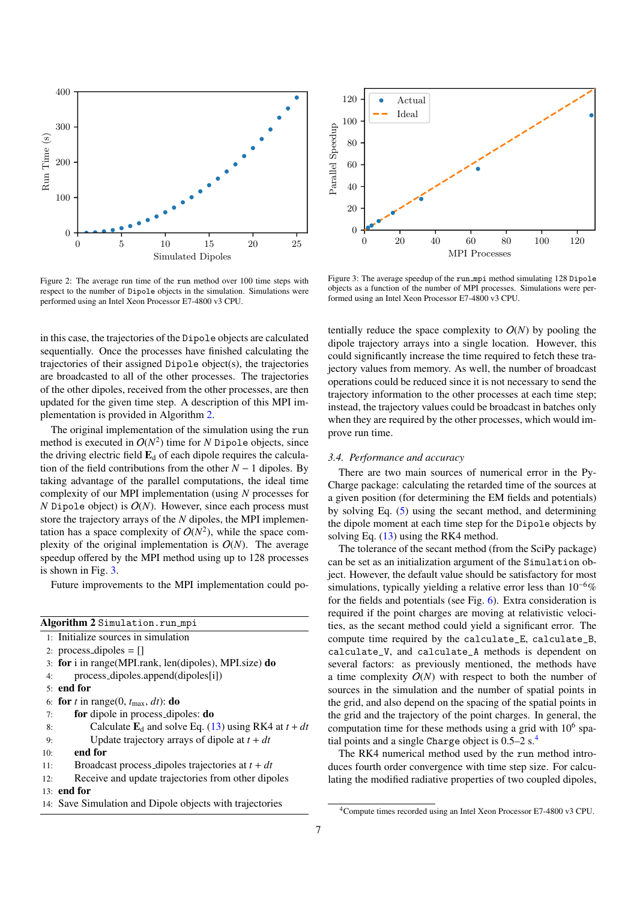

<span id="page-6-0"></span>Figure 2: The average run time of the run method over 100 time steps with respect to the number of Dipole objects in the simulation. Simulations were performed using an Intel Xeon Processor E7-4800 v3 CPU.

in this case, the trajectories of the Dipole objects are calculated sequentially. Once the processes have finished calculating the trajectories of their assigned Dipole object(s), the trajectories are broadcasted to all of the other processes. The trajectories of the other dipoles, received from the other processes, are then updated for the given time step. A description of this MPI implementation is provided in Algorithm [2.](#page-6-1)

The original implementation of the simulation using the run method is executed in  $O(N^2)$  time for *N* Dipole objects, since the driving electric field  $\mathbf{E}_{d}$  of each dipole requires the calculation of the field contributions from the other  $N - 1$  dipoles. By taking advantage of the parallel computations, the ideal time complexity of our MPI implementation (using *N* processes for *N* Dipole object) is  $O(N)$ . However, since each process must store the trajectory arrays of the *N* dipoles, the MPI implementation has a space complexity of  $O(N^2)$ , while the space complexity of the original implementation is  $O(N)$ . The average speedup offered by the MPI method using up to 128 processes is shown in Fig. [3.](#page-6-2)

Future improvements to the MPI implementation could po-

<span id="page-6-1"></span>

|     | Algorithm 2 Simulation.run_mpi                                      |
|-----|---------------------------------------------------------------------|
|     | 1: Initialize sources in simulation                                 |
|     | 2: process_dipoles = $\lceil \cdot \rceil$                          |
|     | 3: for i in range (MPI rank, len (dipoles), MPI size) do            |
| 4:  | $process\_dipoles.append(dipoles[i])$                               |
|     | $5:$ end for                                                        |
|     | 6: for t in range(0, $t_{\text{max}}$ , dt): do                     |
| 7:  | for dipole in process_dipoles: <b>do</b>                            |
| 8:  | Calculate $\mathbf{E}_{d}$ and solve Eq. (13) using RK4 at $t + dt$ |
| 9:  | Update trajectory arrays of dipole at $t + dt$                      |
| 10: | end for                                                             |
| 11: | Broadcast process_dipoles trajectories at $t + dt$                  |
| 12: | Receive and update trajectories from other dipoles                  |
|     | $13:$ end for                                                       |
|     | 14: Save Simulation and Dipole objects with trajectories            |
|     |                                                                     |



<span id="page-6-2"></span>Figure 3: The average speedup of the run mpi method simulating 128 Dipole objects as a function of the number of MPI processes. Simulations were performed using an Intel Xeon Processor E7-4800 v3 CPU.

tentially reduce the space complexity to  $O(N)$  by pooling the dipole trajectory arrays into a single location. However, this could significantly increase the time required to fetch these trajectory values from memory. As well, the number of broadcast operations could be reduced since it is not necessary to send the trajectory information to the other processes at each time step; instead, the trajectory values could be broadcast in batches only when they are required by the other processes, which would improve run time.

## *3.4. Performance and accuracy*

There are two main sources of numerical error in the Py-Charge package: calculating the retarded time of the sources at a given position (for determining the EM fields and potentials) by solving Eq. [\(5\)](#page-2-5) using the secant method, and determining the dipole moment at each time step for the Dipole objects by solving Eq.  $(13)$  using the RK4 method.

The tolerance of the secant method (from the SciPy package) can be set as an initialization argument of the Simulation object. However, the default value should be satisfactory for most simulations, typically yielding a relative error less than 10<sup>−</sup>6% for the fields and potentials (see Fig. [6\)](#page-8-0). Extra consideration is required if the point charges are moving at relativistic velocities, as the secant method could yield a significant error. The compute time required by the calculate\_E, calculate\_B, calculate\_V, and calculate\_A methods is dependent on several factors: as previously mentioned, the methods have a time complexity  $O(N)$  with respect to both the number of sources in the simulation and the number of spatial points in the grid, and also depend on the spacing of the spatial points in the grid and the trajectory of the point charges. In general, the computation time for these methods using a grid with  $10^6$  spatial points and a single Charge object is  $0.5-2$  s.<sup>[4](#page-6-3)</sup>

The RK4 numerical method used by the run method introduces fourth order convergence with time step size. For calculating the modified radiative properties of two coupled dipoles,

<span id="page-6-3"></span><sup>4</sup>Compute times recorded using an Intel Xeon Processor E7-4800 v3 CPU.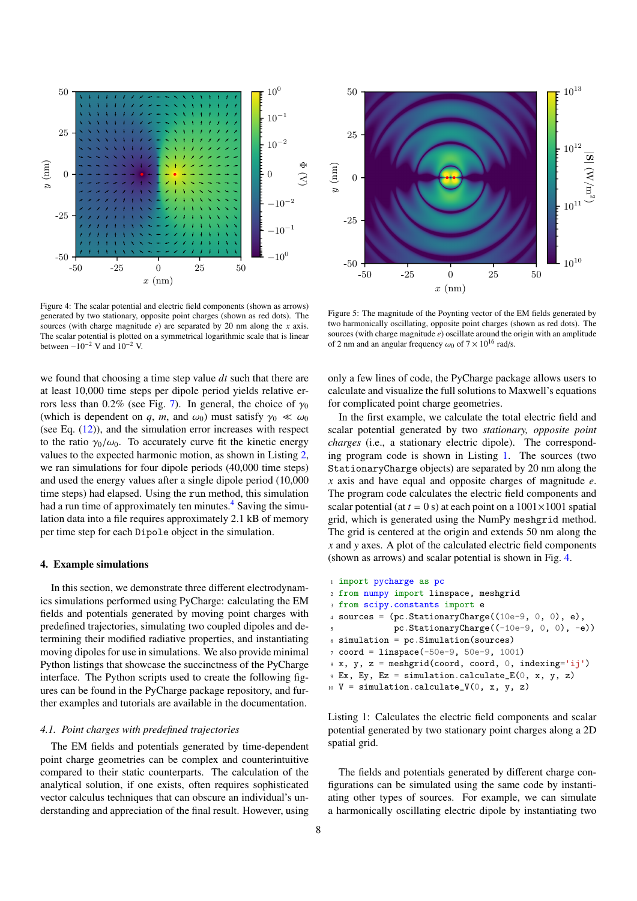

<span id="page-7-2"></span>Figure 4: The scalar potential and electric field components (shown as arrows) generated by two stationary, opposite point charges (shown as red dots). The sources (with charge magnitude *e*) are separated by 20 nm along the *x* axis. The scalar potential is plotted on a symmetrical logarithmic scale that is linear between  $-10^{-2}$  V and  $10^{-2}$  V.

we found that choosing a time step value *dt* such that there are at least 10,000 time steps per dipole period yields relative er-rors less than 0.2% (see Fig. [7\)](#page-8-1). In general, the choice of  $\gamma_0$ (which is dependent on *q*, *m*, and  $\omega_0$ ) must satisfy  $\gamma_0 \ll \omega_0$ (see Eq.  $(12)$ ), and the simulation error increases with respect to the ratio  $\gamma_0/\omega_0$ . To accurately curve fit the kinetic energy values to the expected harmonic motion, as shown in Listing [2,](#page-9-0) we ran simulations for four dipole periods (40,000 time steps) and used the energy values after a single dipole period (10,000 time steps) had elapsed. Using the run method, this simulation had a run time of approximately ten minutes.<sup>[4](#page-6-3)</sup> Saving the simulation data into a file requires approximately 2.1 kB of memory per time step for each Dipole object in the simulation.

#### <span id="page-7-0"></span>4. Example simulations

In this section, we demonstrate three different electrodynamics simulations performed using PyCharge: calculating the EM fields and potentials generated by moving point charges with predefined trajectories, simulating two coupled dipoles and determining their modified radiative properties, and instantiating moving dipoles for use in simulations. We also provide minimal Python listings that showcase the succinctness of the PyCharge interface. The Python scripts used to create the following figures can be found in the PyCharge package repository, and further examples and tutorials are available in the documentation.

## *4.1. Point charges with predefined trajectories*

The EM fields and potentials generated by time-dependent point charge geometries can be complex and counterintuitive compared to their static counterparts. The calculation of the analytical solution, if one exists, often requires sophisticated vector calculus techniques that can obscure an individual's understanding and appreciation of the final result. However, using



<span id="page-7-3"></span>Figure 5: The magnitude of the Poynting vector of the EM fields generated by two harmonically oscillating, opposite point charges (shown as red dots). The sources (with charge magnitude *e*) oscillate around the origin with an amplitude of 2 nm and an angular frequency  $\omega_0$  of  $7 \times 10^{16}$  rad/s.

only a few lines of code, the PyCharge package allows users to calculate and visualize the full solutions to Maxwell's equations for complicated point charge geometries.

In the first example, we calculate the total electric field and scalar potential generated by two *stationary, opposite point charges* (i.e., a stationary electric dipole). The corresponding program code is shown in Listing [1.](#page-7-1) The sources (two StationaryCharge objects) are separated by 20 nm along the *x* axis and have equal and opposite charges of magnitude *e*. The program code calculates the electric field components and scalar potential (at  $t = 0$  s) at each point on a  $1001 \times 1001$  spatial grid, which is generated using the NumPy meshgrid method. The grid is centered at the origin and extends 50 nm along the *x* and *y* axes. A plot of the calculated electric field components (shown as arrows) and scalar potential is shown in Fig. [4.](#page-7-2)

```
1 import pycharge as pc
2 from numpy import linspace, meshgrid
3 from scipy.constants import e
4 sources = (pc. StationaryCharge((10e-9, 0, 0), e),
              pc.StationaryCharge((-10e-9, 0, 0), -e))
6 simulation = pc. Simulation(sources)
7 \text{ coord} = \text{linspace}(-50e-9, 50e-9, 1001)8 \text{ X}, y, z = \text{meshgrid}(\text{coord}, \text{coord}, 0, \text{indexing='ij'})9 Ex, Ey, Ez = simulation.calculate_E(0, x, y, z)
10 V = simulation.calculate_V(0, x, y, z)
```
Listing 1: Calculates the electric field components and scalar potential generated by two stationary point charges along a 2D spatial grid.

The fields and potentials generated by different charge configurations can be simulated using the same code by instantiating other types of sources. For example, we can simulate a harmonically oscillating electric dipole by instantiating two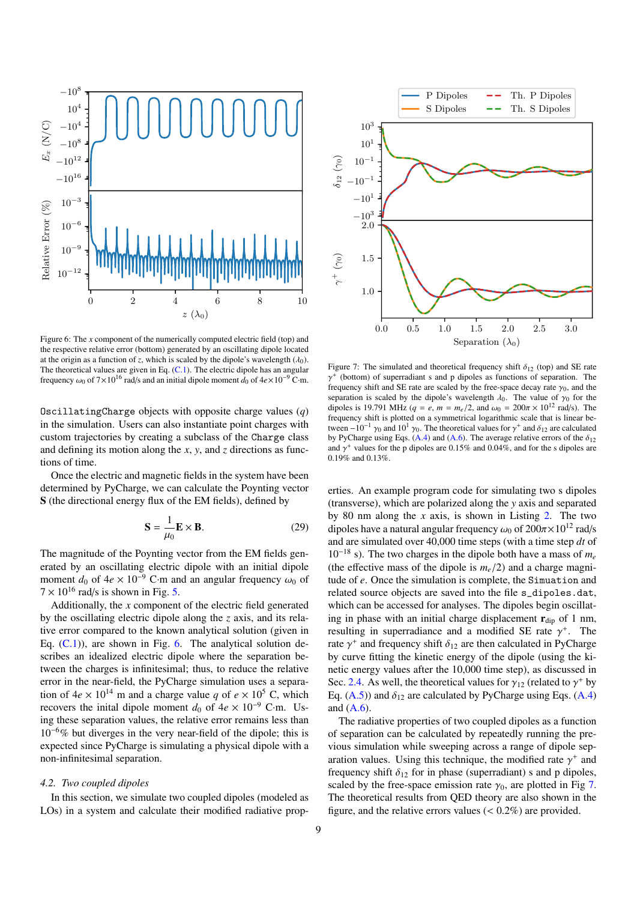

<span id="page-8-0"></span>Figure 6: The *x* component of the numerically computed electric field (top) and the respective relative error (bottom) generated by an oscillating dipole located at the origin as a function of *z*, which is scaled by the dipole's wavelength  $(\lambda_0)$ . The theoretical values are given in Eq.  $(C.1)$ . The electric dipole has an angular frequency  $\omega_0$  of 7×10<sup>16</sup> rad/s and an initial dipole moment  $d_0$  of 4*e*×10<sup>-9</sup> C·m.

OscillatingCharge objects with opposite charge values (*q*) in the simulation. Users can also instantiate point charges with custom trajectories by creating a subclass of the Charge class and defining its motion along the *x*, *y*, and *z* directions as functions of time.

Once the electric and magnetic fields in the system have been determined by PyCharge, we can calculate the Poynting vector S (the directional energy flux of the EM fields), defined by

$$
\mathbf{S} = \frac{1}{\mu_0} \mathbf{E} \times \mathbf{B}.
$$
 (29)

The magnitude of the Poynting vector from the EM fields generated by an oscillating electric dipole with an initial dipole moment  $d_0$  of  $4e \times 10^{-9}$  C·m and an angular frequency  $\omega_0$  of  $7 \times 10^{16}$  rad/s is shown in Fig. [5.](#page-7-3)

Additionally, the *x* component of the electric field generated by the oscillating electric dipole along the *z* axis, and its relative error compared to the known analytical solution (given in Eq.  $(C.1)$ ), are shown in Fig. [6.](#page-8-0) The analytical solution describes an idealized electric dipole where the separation between the charges is infinitesimal; thus, to reduce the relative error in the near-field, the PyCharge simulation uses a separation of  $4e \times 10^{14}$  m and a charge value *q* of  $e \times 10^5$  C, which recovers the inital dipole moment  $d_0$  of  $4e \times 10^{-9}$  C·m. Using these separation values, the relative error remains less than  $10^{-6}\%$  but diverges in the very near-field of the dipole; this is expected since PyCharge is simulating a physical dipole with a non-infinitesimal separation.

# *4.2. Two coupled dipoles*

In this section, we simulate two coupled dipoles (modeled as LOs) in a system and calculate their modified radiative prop-



<span id="page-8-1"></span>Figure 7: The simulated and theoretical frequency shift  $\delta_{12}$  (top) and SE rate frequency shift and SE rate are scaled by the free-space decay rate  $\gamma_0$ , and the senaration is scaled by the dipole's wavelength  $\lambda_0$ . The value of  $\gamma_0$  for the + (bottom) of superradiant s and p dipoles as functions of separation. The separation is scaled by the dipole's wavelength  $\lambda_0$ . The value of  $\gamma_0$  for the dipoles is 19.791 MHz ( $q = e$ ,  $m = m_e/2$ , and  $\omega_0 = 200\pi \times 10^{12}$  rad/s). The frequency shift is plotted on a symmetrical logarithmic scale that is linear between −10<sup>-1</sup>  $\gamma_0$  and 10<sup>1</sup>  $\gamma_0$ . The theoretical values for  $\gamma^+$  and  $\delta_{12}$  are calculated by PyCharge using Eqs. (A 4) and (A 6). The average relative errors of the  $\delta_{12}$ by PyCharge using Eqs. [\(A.4\)](#page-10-2) and [\(A.6\)](#page-11-0). The average relative errors of the  $\delta_{12}$ and  $\gamma^+$  values for the p dipoles are 0.15% and 0.04%, and for the s dipoles are 0.19% and 0.13% 0.19% and 0.13%.

erties. An example program code for simulating two s dipoles (transverse), which are polarized along the *y* axis and separated by 80 nm along the *x* axis, is shown in Listing [2.](#page-9-0) The two dipoles have a natural angular frequency  $\omega_0$  of  $200\pi \times 10^{12}$  rad/s and are simulated over 40,000 time steps (with a time step *dt* of 10<sup>−</sup><sup>18</sup> s). The two charges in the dipole both have a mass of *m<sup>e</sup>* (the effective mass of the dipole is  $m_e/2$ ) and a charge magnitude of *e*. Once the simulation is complete, the Simuation and related source objects are saved into the file s\_dipoles.dat, which can be accessed for analyses. The dipoles begin oscillating in phase with an initial charge displacement  $r_{\text{dip}}$  of 1 nm, resulting in superradiance and a modified SE rate  $\gamma^+$ . The rate  $\gamma^+$  and frequency shift  $\delta_{12}$  are then calculated in PyCharge rate  $\gamma^+$  and frequency shift  $\delta_{12}$  are then calculated in PyCharge<br>by curve fitting the kinetic energy of the dipole (using the kiby curve fitting the kinetic energy of the dipole (using the kinetic energy values after the 10,000 time step), as discussed in Sec. [2.4.](#page-3-10) As well, the theoretical values for  $\gamma_{12}$  (related to  $\gamma^+$  by Eq. (A.5)) and  $\delta_{12}$  are calculated by PyCharge using Eqs. (A.4) Eq.  $(A.5)$ ) and  $\delta_{12}$  are calculated by PyCharge using Eqs.  $(A.4)$ and  $(A.6)$ .

The radiative properties of two coupled dipoles as a function of separation can be calculated by repeatedly running the previous simulation while sweeping across a range of dipole separation values. Using this technique, the modified rate  $\gamma^+$  and regional regional regional regional regional regional regional regional regional regional regional regional regional regional regional regional regional r frequency shift  $\delta_{12}$  for in phase (superradiant) s and p dipoles, scaled by the free-space emission rate  $\gamma_0$ , are plotted in Fig [7.](#page-8-1) The theoretical results from QED theory are also shown in the figure, and the relative errors values  $(< 0.2\%)$  are provided.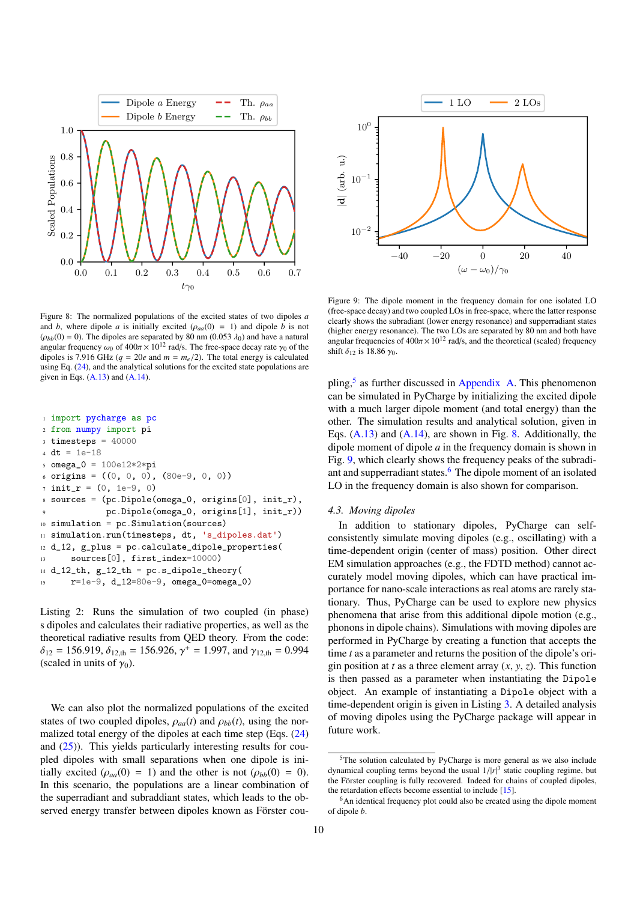

<span id="page-9-2"></span>Figure 8: The normalized populations of the excited states of two dipoles *a* and *b*, where dipole *a* is initially excited  $(\rho_{aa}(0) = 1)$  and dipole *b* is not  $(\rho_{bb}(0) = 0)$ . The dipoles are separated by 80 nm  $(0.053 \lambda_0)$  and have a natural  $(\rho_{bb}(0) = 0)$ . The dipoles are separated by 80 nm (0.053  $\lambda_0$ ) and have a natural<br>angular frequency  $\omega_0$  of  $400\pi \times 10^{12}$  rad/s. The free-space decay rate  $\omega_0$  of the angular frequency  $\omega_0$  of  $400\pi \times 10^{12}$  rad/s. The free-space decay rate  $\gamma_0$  of the dinotes is 7.916 GHz  $(a - 20e$  and  $m - m/2$ ). The total energy is calculated dipoles is 7.916 GHz ( $q = 20e$  and  $m = m_e/2$ ). The total energy is calculated using Eq. [\(24\)](#page-3-5), and the analytical solutions for the excited state populations are given in Eqs.  $(A.13)$  and  $(A.14)$ .

<span id="page-9-0"></span>

|              | i import pycharge as pc                              |
|--------------|------------------------------------------------------|
|              | 2 from numpy import pi                               |
|              | $\text{3}$ timesteps = 40000                         |
|              | 4 $dt = 1e-18$                                       |
|              | $5$ omega_0 = $100e12*2*pi$                          |
|              | 6 origins = $((0, 0, 0), (80e-9, 0, 0))$             |
|              | $\tau$ init_r = (0, 1e-9, 0)                         |
|              | s sources = (pc.Dipole(omega_0, origins[0], init_r), |
| $\mathbf{Q}$ | $pc.Dipole(omega_0, origins[1], init_r))$            |
|              | $_{10}$ simulation = pc. Simulation (sources)        |
|              | 11 simulation.run(timesteps, dt, 's_dipoles.dat')    |
|              | $12 d_12$ , g_plus = pc.calculate_dipole_properties( |
| 13           | $sources[0], first_index=10000)$                     |
|              | $_{14}$ d_12_th, $g$ _12_th = pc.s_dipole_theory(    |
|              | $r=1e-9$ , d_12=80e-9, omega_0=omega_0)<br>15        |

Listing 2: Runs the simulation of two coupled (in phase) s dipoles and calculates their radiative properties, as well as the theoretical radiative results from QED theory. From the code:  $\delta_{12}$  = 156.919,  $\delta_{12,th}$  = 156.926,  $\gamma^+$  = 1.997, and  $\gamma_{12,th}$  = 0.994 (scaled in units of  $\gamma_0$ ).

We can also plot the normalized populations of the excited states of two coupled dipoles,  $\rho_{aa}(t)$  and  $\rho_{bb}(t)$ , using the normalized total energy of the dipoles at each time step (Eqs. [\(24\)](#page-3-5) and  $(25)$ ). This yields particularly interesting results for coupled dipoles with small separations when one dipole is initially excited ( $\rho_{aa}(0) = 1$ ) and the other is not ( $\rho_{bb}(0) = 0$ ). In this scenario, the populations are a linear combination of the superradiant and subraddiant states, which leads to the observed energy transfer between dipoles known as Förster cou-



<span id="page-9-3"></span>Figure 9: The dipole moment in the frequency domain for one isolated LO (free-space decay) and two coupled LOs in free-space, where the latter response clearly shows the subradiant (lower energy resonance) and supperradiant states (higher energy resonance). The two LOs are separated by 80 nm and both have angular frequencies of  $400\pi \times 10^{12}$  rad/s, and the theoretical (scaled) frequency shift  $\delta_{12}$  is 18.86  $\gamma_0$ .

pling,<sup>[5](#page-9-1)</sup> as further discussed in [Appendix A.](#page-10-1) This phenomenon can be simulated in PyCharge by initializing the excited dipole with a much larger dipole moment (and total energy) than the other. The simulation results and analytical solution, given in Eqs. [\(A.13\)](#page-11-2) and [\(A.14\)](#page-11-3), are shown in Fig. [8.](#page-9-2) Additionally, the dipole moment of dipole *a* in the frequency domain is shown in Fig. [9,](#page-9-3) which clearly shows the frequency peaks of the subradi-ant and supperradiant states.<sup>[6](#page-9-4)</sup> The dipole moment of an isolated LO in the frequency domain is also shown for comparison.

#### *4.3. Moving dipoles*

In addition to stationary dipoles, PyCharge can selfconsistently simulate moving dipoles (e.g., oscillating) with a time-dependent origin (center of mass) position. Other direct EM simulation approaches (e.g., the FDTD method) cannot accurately model moving dipoles, which can have practical importance for nano-scale interactions as real atoms are rarely stationary. Thus, PyCharge can be used to explore new physics phenomena that arise from this additional dipole motion (e.g., phonons in dipole chains). Simulations with moving dipoles are performed in PyCharge by creating a function that accepts the time *t* as a parameter and returns the position of the dipole's origin position at *t* as a three element array  $(x, y, z)$ . This function is then passed as a parameter when instantiating the Dipole object. An example of instantiating a Dipole object with a time-dependent origin is given in Listing [3.](#page-10-3) A detailed analysis of moving dipoles using the PyCharge package will appear in future work.

<span id="page-9-1"></span><sup>5</sup>The solution calculated by PyCharge is more general as we also include dynamical coupling terms beyond the usual  $1/|r|^3$  static coupling regime, but<br>the Eörster coupling is fully recovered. Indeed for chains of coupled dipoles the Förster coupling is fully recovered. Indeed for chains of coupled dipoles, the retardation effects become essential to include [\[15\]](#page-13-0).

<span id="page-9-4"></span><sup>&</sup>lt;sup>6</sup>An identical frequency plot could also be created using the dipole moment of dipole *b*.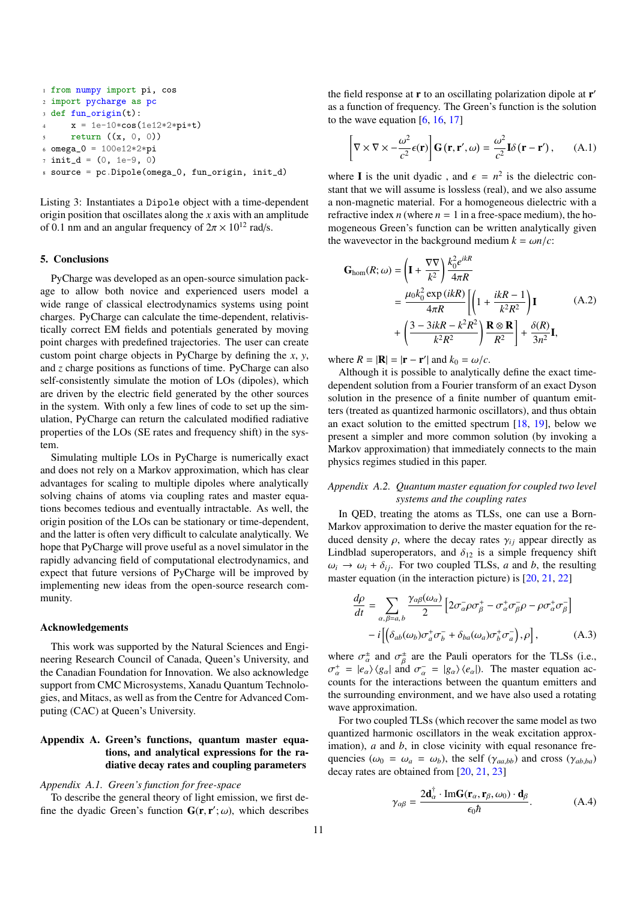```
1 from numpy import pi, cos
2 import pycharge as pc
3 def fun_origin(t):
     x = 1e-10*cos(1e12*2*pi*t)return ((x, 0, 0))6 omega_0 = 100e12*2*pi7 init_d = (0, 1e-9, 0)8 source = pc.Dipole(omega_0, fun_origin, init_d)
```
Listing 3: Instantiates a Dipole object with a time-dependent origin position that oscillates along the *x* axis with an amplitude of 0.1 nm and an angular frequency of  $2\pi \times 10^{12}$  rad/s.

#### <span id="page-10-0"></span>5. Conclusions

PyCharge was developed as an open-source simulation package to allow both novice and experienced users model a wide range of classical electrodynamics systems using point charges. PyCharge can calculate the time-dependent, relativistically correct EM fields and potentials generated by moving point charges with predefined trajectories. The user can create custom point charge objects in PyCharge by defining the *x*, *y*, and *z* charge positions as functions of time. PyCharge can also self-consistently simulate the motion of LOs (dipoles), which are driven by the electric field generated by the other sources in the system. With only a few lines of code to set up the simulation, PyCharge can return the calculated modified radiative properties of the LOs (SE rates and frequency shift) in the system.

Simulating multiple LOs in PyCharge is numerically exact and does not rely on a Markov approximation, which has clear advantages for scaling to multiple dipoles where analytically solving chains of atoms via coupling rates and master equations becomes tedious and eventually intractable. As well, the origin position of the LOs can be stationary or time-dependent, and the latter is often very difficult to calculate analytically. We hope that PyCharge will prove useful as a novel simulator in the rapidly advancing field of computational electrodynamics, and expect that future versions of PyCharge will be improved by implementing new ideas from the open-source research community.

#### Acknowledgements

This work was supported by the Natural Sciences and Engineering Research Council of Canada, Queen's University, and the Canadian Foundation for Innovation. We also acknowledge support from CMC Microsystems, Xanadu Quantum Technologies, and Mitacs, as well as from the Centre for Advanced Computing (CAC) at Queen's University.

# <span id="page-10-1"></span>Appendix A. Green's functions, quantum master equations, and analytical expressions for the radiative decay rates and coupling parameters

#### *Appendix A.1. Green's function for free-space*

To describe the general theory of light emission, we first define the dyadic Green's function  $G(\mathbf{r}, \mathbf{r}'; \omega)$ , which describes

the field response at  $r$  to an oscillating polarization dipole at  $r'$ as a function of frequency. The Green's function is the solution to the wave equation  $[6, 16, 17]$  $[6, 16, 17]$  $[6, 16, 17]$  $[6, 16, 17]$  $[6, 16, 17]$ 

$$
\left[\nabla \times \nabla \times -\frac{\omega^2}{c^2} \epsilon(\mathbf{r})\right] \mathbf{G}(\mathbf{r}, \mathbf{r}', \omega) = \frac{\omega^2}{c^2} \mathbf{I} \delta(\mathbf{r} - \mathbf{r}'), \quad (A.1)
$$

where **I** is the unit dyadic, and  $\epsilon = n^2$  is the dielectric con-<br>stant that we will assume is lossless (real) and we also assume stant that we will assume is lossless (real), and we also assume a non-magnetic material. For a homogeneous dielectric with a refractive index  $n$  (where  $n = 1$  in a free-space medium), the homogeneous Green's function can be written analytically given the wavevector in the background medium  $k = \omega n/c$ :

$$
\mathbf{G}_{\text{hom}}(R; \omega) = \left(\mathbf{I} + \frac{\nabla \nabla}{k^2}\right) \frac{k_0^2 e^{ikR}}{4\pi R}
$$
  
=  $\frac{\mu_0 k_0^2 \exp(ikR)}{4\pi R} \left[\left(1 + \frac{ikR - 1}{k^2 R^2}\right) \mathbf{I} + \left(\frac{3 - 3ikR - k^2 R^2}{k^2 R^2}\right) \frac{\mathbf{R} \otimes \mathbf{R}}{R^2}\right] + \frac{\delta(R)}{3n^2} \mathbf{I},$  (A.2)

where  $R = |\mathbf{R}| = |\mathbf{r} - \mathbf{r}'|$  and  $k_0 = \omega/c$ .<br>Although it is possible to analytical

Although it is possible to analytically define the exact timedependent solution from a Fourier transform of an exact Dyson solution in the presence of a finite number of quantum emitters (treated as quantized harmonic oscillators), and thus obtain an exact solution to the emitted spectrum  $[18, 19]$  $[18, 19]$  $[18, 19]$ , below we present a simpler and more common solution (by invoking a Markov approximation) that immediately connects to the main physics regimes studied in this paper.

# *Appendix A.2. Quantum master equation for coupled two level systems and the coupling rates*

In QED, treating the atoms as TLSs, one can use a Born-Markov approximation to derive the master equation for the reduced density  $\rho$ , where the decay rates  $\gamma_{ii}$  appear directly as Lindblad superoperators, and  $\delta_{12}$  is a simple frequency shift  $\omega_i \rightarrow \omega_i + \delta_{ij}$ . For two coupled TLSs, *a* and *b*, the resulting master equation (in the interaction picture) is [\[20,](#page-13-5) [21,](#page-13-6) [22\]](#page-13-7)

$$
\frac{d\rho}{dt} = \sum_{\alpha,\beta=a,b} \frac{\gamma_{\alpha\beta}(\omega_{\alpha})}{2} \left[ 2\sigma_{\alpha}^{-} \rho \sigma_{\beta}^{+} - \sigma_{\alpha}^{+} \sigma_{\beta}^{-} \rho - \rho \sigma_{\alpha}^{+} \sigma_{\beta}^{-} \right] \n- i \left[ \left( \delta_{ab}(\omega_{b}) \sigma_{a}^{+} \sigma_{b}^{-} + \delta_{ba}(\omega_{a}) \sigma_{b}^{+} \sigma_{a}^{-} \right), \rho \right],
$$
\n(A.3)

where  $\sigma_{\alpha}^{\pm}$  and  $\sigma_{\beta}^{\pm}$  are the Pauli operators for the TLSs (i.e.,  $\sigma^+ = \frac{|\alpha|}{|\alpha|}$  and  $\sigma^- = \frac{|\alpha|}{|\alpha|}$ ). The master equation ac- $\alpha_{\alpha}^{+} = |e_{\alpha}\rangle \langle g_{\alpha}|$  and  $\sigma_{\alpha}^{-} = |g_{\alpha}\rangle \langle e_{\alpha}|$ . The master equation accounts for the interactions between the quantum emitters and the surrounding environment, and we have also used a rotating wave approximation.

For two coupled TLSs (which recover the same model as two quantized harmonic oscillators in the weak excitation approximation), *a* and *b*, in close vicinity with equal resonance frequencies ( $\omega_0 = \omega_a = \omega_b$ ), the self ( $\gamma_{a}$ *b<sub>b</sub>*) and cross ( $\gamma_{a}$ <sub>*bba*</sub>) decay rates are obtained from [\[20,](#page-13-5) [21,](#page-13-6) [23\]](#page-13-8)

<span id="page-10-2"></span>
$$
\gamma_{\alpha\beta} = \frac{2\mathbf{d}_{\alpha}^{\dagger} \cdot \text{Im}\mathbf{G}(\mathbf{r}_{\alpha}, \mathbf{r}_{\beta}, \omega_0) \cdot \mathbf{d}_{\beta}}{\epsilon_0 \hbar}.
$$
 (A.4)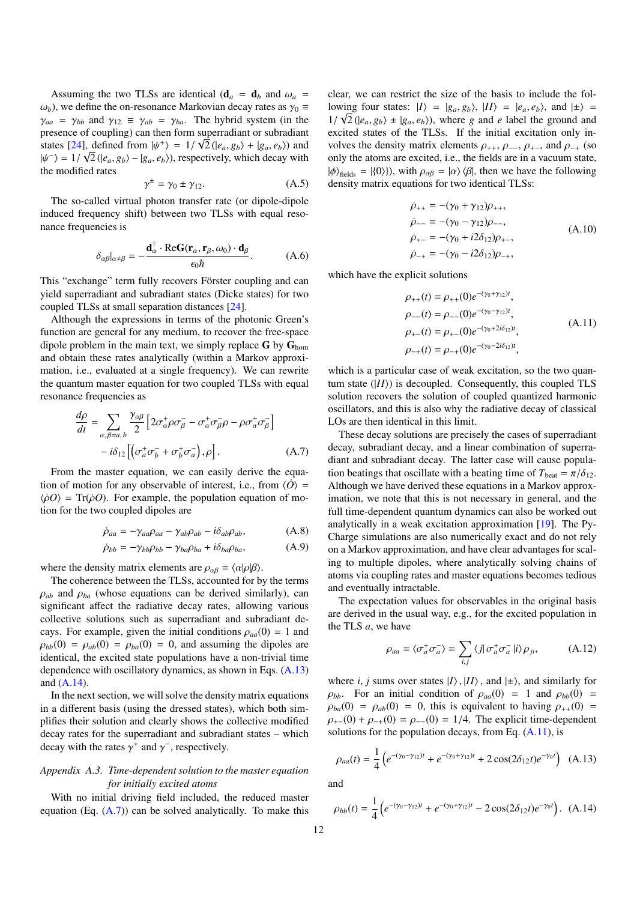Assuming the two TLSs are identical ( $\mathbf{d}_a = \mathbf{d}_b$  and  $\omega_a =$  $\omega_b$ ), we define the on-resonance Markovian decay rates as  $\gamma_0 \equiv$  $\gamma_{aa} = \gamma_{bb}$  and  $\gamma_{12} \equiv \gamma_{ab} = \gamma_{ba}$ . The hybrid system (in the presence of coupling) can then form superradiant or subradiant states [\[24\]](#page-13-9), defined from  $|\psi^+\rangle = 1/\sqrt{2}(|e_a, g_b\rangle + |g_a, e_b\rangle)$  and  $|\psi^-\rangle = 1/\sqrt{2}(|e_a, g_b\rangle + |g_a, g_b\rangle)$  respectively which decay with  $|\psi^{-}\rangle = 1/\sqrt{2} (|e_a, g_b\rangle - |g_a, e_b\rangle)$ , respectively, which decay with the modified rates the modified rates

<span id="page-11-1"></span>
$$
\gamma^{\pm} = \gamma_0 \pm \gamma_{12}.\tag{A.5}
$$

The so-called virtual photon transfer rate (or dipole-dipole induced frequency shift) between two TLSs with equal resonance frequencies is

<span id="page-11-0"></span>
$$
\delta_{\alpha\beta}|_{\alpha\neq\beta} = -\frac{\mathbf{d}_{\alpha}^{\dagger} \cdot \text{Re}\mathbf{G}(\mathbf{r}_{\alpha}, \mathbf{r}_{\beta}, \omega_0) \cdot \mathbf{d}_{\beta}}{\epsilon_0 \hbar}.
$$
 (A.6)

This "exchange" term fully recovers Förster coupling and can yield superradiant and subradiant states (Dicke states) for two coupled TLSs at small separation distances [\[24\]](#page-13-9).

Although the expressions in terms of the photonic Green's function are general for any medium, to recover the free-space dipole problem in the main text, we simply replace  $G$  by  $G<sub>hom</sub>$ and obtain these rates analytically (within a Markov approximation, i.e., evaluated at a single frequency). We can rewrite the quantum master equation for two coupled TLSs with equal resonance frequencies as

$$
\frac{d\rho}{dt} = \sum_{\alpha,\beta=a,b} \frac{\gamma_{\alpha\beta}}{2} \left[ 2\sigma^+_{\alpha}\rho\sigma^-_{\beta} - \sigma^+_{\alpha}\sigma^-_{\beta}\rho - \rho\sigma^+_{\alpha}\sigma^-_{\beta} \right] \n- i\delta_{12} \left[ \left( \sigma^+_{\alpha}\sigma^-_{\beta} + \sigma^+_{\beta}\sigma^-_{\alpha} \right), \rho \right].
$$
\n(A.7)

From the master equation, we can easily derive the equation of motion for any observable of interest, i.e., from  $\langle \dot{O} \rangle$  =  $\langle \dot{\rho} \dot{\rho} \rangle$  = Tr( $\dot{\rho}$ *O*). For example, the population equation of motion for the two coupled dipoles are

$$
\dot{\rho}_{aa} = -\gamma_{aa}\rho_{aa} - \gamma_{ab}\rho_{ab} - i\delta_{ab}\rho_{ab},\tag{A.8}
$$

$$
\dot{\rho}_{bb} = -\gamma_{bb}\rho_{bb} - \gamma_{ba}\rho_{ba} + i\delta_{ba}\rho_{ba}, \tag{A.9}
$$

where the density matrix elements are  $\rho_{\alpha\beta} = \langle \alpha | \rho | \beta \rangle$ .

The coherence between the TLSs, accounted for by the terms  $\rho_{ab}$  and  $\rho_{ba}$  (whose equations can be derived similarly), can significant affect the radiative decay rates, allowing various collective solutions such as superradiant and subradiant decays. For example, given the initial conditions  $\rho_{aa}(0) = 1$  and  $\rho_{bb}(0) = \rho_{ab}(0) = \rho_{ba}(0) = 0$ , and assuming the dipoles are identical, the excited state populations have a non-trivial time dependence with oscillatory dynamics, as shown in Eqs. [\(A.13\)](#page-11-2) and [\(A.14\)](#page-11-3).

In the next section, we will solve the density matrix equations in a different basis (using the dressed states), which both simplifies their solution and clearly shows the collective modified decay rates for the superradiant and subradiant states – which decay with the rates  $\gamma^+$  and  $\gamma^-$ , respectively.

# *Appendix A.3. Time-dependent solution to the master equation for initially excited atoms*

With no initial driving field included, the reduced master equation (Eq.  $(A.7)$ ) can be solved analytically. To make this

clear, we can restrict the size of the basis to include the following four states:  $|I\rangle = |g_a, g_b\rangle, |II\rangle = |e_a, e_b\rangle$ , and  $| \pm \rangle =$ <br> $1/\sqrt{2} (|e_a, e_b\rangle + |g_a, e_b\rangle)$ , where a and a label the ground and  $1/\sqrt{2}$  ( $|e_a, g_b\rangle \pm |g_a, e_b\rangle$ ), where *g* and *e* label the ground and excited states of the TI Ss. If the initial excitation only inexcited states of the TLSs. If the initial excitation only involves the density matrix elements  $\rho_{++}$ ,  $\rho_{--}$ ,  $\rho_{+-}$ , and  $\rho_{-+}$  (so only the atoms are excited, i.e., the fields are in a vacuum state,  $|\phi\rangle_{\text{fields}} = |\{0\}\rangle$ , with  $\rho_{\alpha\beta} = |\alpha\rangle \langle \beta|$ , then we have the following density matrix equations for two identical TLSs:

$$
\dot{\rho}_{++} = -(\gamma_0 + \gamma_{12})\rho_{++}, \n\dot{\rho}_{--} = -(\gamma_0 - \gamma_{12})\rho_{--}, \n\dot{\rho}_{+-} = -(\gamma_0 + i2\delta_{12})\rho_{+-}, \n\dot{\rho}_{-+} = -(\gamma_0 - i2\delta_{12})\rho_{-+},
$$
\n(A.10)

which have the explicit solutions

<span id="page-11-5"></span>
$$
\rho_{++}(t) = \rho_{++}(0)e^{-(\gamma_0 + \gamma_{12})t},
$$
  
\n
$$
\rho_{--}(t) = \rho_{--}(0)e^{-(\gamma_0 - \gamma_{12})t},
$$
  
\n
$$
\rho_{+-}(t) = \rho_{+-}(0)e^{-(\gamma_0 + 2i\delta_{12})t},
$$
  
\n
$$
\rho_{-+}(t) = \rho_{-+}(0)e^{-(\gamma_0 - 2i\delta_{12})t},
$$
\n(A.11)

which is a particular case of weak excitation, so the two quantum state  $(|II\rangle)$  is decoupled. Consequently, this coupled TLS solution recovers the solution of coupled quantized harmonic oscillators, and this is also why the radiative decay of classical LOs are then identical in this limit.

<span id="page-11-4"></span>These decay solutions are precisely the cases of superradiant decay, subradiant decay, and a linear combination of superradiant and subradiant decay. The latter case will cause population beatings that oscillate with a beating time of  $T_{\text{beat}} = \pi/\delta_{12}$ . Although we have derived these equations in a Markov approximation, we note that this is not necessary in general, and the full time-dependent quantum dynamics can also be worked out analytically in a weak excitation approximation [\[19\]](#page-13-4). The Py-Charge simulations are also numerically exact and do not rely on a Markov approximation, and have clear advantages for scaling to multiple dipoles, where analytically solving chains of atoms via coupling rates and master equations becomes tedious and eventually intractable.

The expectation values for observables in the original basis are derived in the usual way, e.g., for the excited population in the TLS *a*, we have

$$
\rho_{aa} = \langle \sigma_a^+ \sigma_a^- \rangle = \sum_{i,j} \langle j | \sigma_a^+ \sigma_a^- | i \rangle \rho_{ji}, \tag{A.12}
$$

where *i*, *j* sums over states  $|I\rangle$ ,  $|II\rangle$ , and  $|\pm\rangle$ , and similarly for  $\rho_{bb}$ . For an initial condition of  $\rho_{aa}(0) = 1$  and  $\rho_{bb}(0) = 1$  $\rho_{ba}(0) = \rho_{ab}(0) = 0$ , this is equivalent to having  $\rho_{++}(0) =$  $\rho_{+-}(0) + \rho_{-+}(0) = \rho_{--}(0) = 1/4$ . The explicit time-dependent solutions for the population decays, from Eq.  $(A.11)$ , is

<span id="page-11-2"></span>
$$
\rho_{aa}(t) = \frac{1}{4} \left( e^{-(\gamma_0 - \gamma_{12})t} + e^{-(\gamma_0 + \gamma_{12})t} + 2\cos(2\delta_{12}t)e^{-\gamma_0 t} \right) \tag{A.13}
$$

and

<span id="page-11-3"></span>
$$
\rho_{bb}(t) = \frac{1}{4} \left( e^{-(\gamma_0 - \gamma_{12})t} + e^{-(\gamma_0 + \gamma_{12})t} - 2\cos(2\delta_{12}t)e^{-\gamma_0 t} \right). \tag{A.14}
$$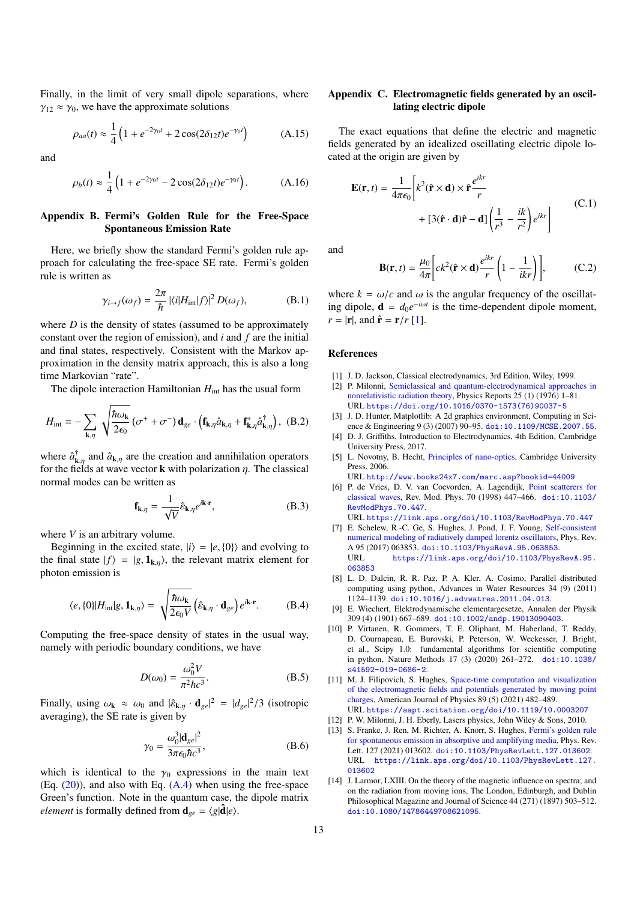Finally, in the limit of very small dipole separations, where  $\gamma_{12} \approx \gamma_0$ , we have the approximate solutions

$$
\rho_{aa}(t) \approx \frac{1}{4} \left( 1 + e^{-2\gamma_0 t} + 2 \cos(2\delta_{12} t) e^{-\gamma_0 t} \right) \tag{A.15}
$$

and

$$
\rho_b(t) \approx \frac{1}{4} \left( 1 + e^{-2\gamma_0 t} - 2 \cos(2\delta_{12} t) e^{-\gamma_0 t} \right). \tag{A.16}
$$

# <span id="page-12-8"></span>Appendix B. Fermi's Golden Rule for the Free-Space Spontaneous Emission Rate

Here, we briefly show the standard Fermi's golden rule approach for calculating the free-space SE rate. Fermi's golden rule is written as

$$
\gamma_{i \to f}(\omega_f) = \frac{2\pi}{\hbar} |\langle i|H_{int}|f\rangle|^2 D(\omega_f), \tag{B.1}
$$

where *D* is the density of states (assumed to be approximately constant over the region of emission), and *i* and *f* are the initial and final states, respectively. Consistent with the Markov approximation in the density matrix approach, this is also a long time Markovian "rate".

The dipole interaction Hamiltonian  $H_{int}$  has the usual form

$$
H_{\rm int} = -\sum_{\mathbf{k},\eta} \sqrt{\frac{\hbar \omega_{\mathbf{k}}}{2\epsilon_0}} \left( \sigma^+ + \sigma^- \right) \mathbf{d}_{ge} \cdot \left( \mathbf{f}_{\mathbf{k},\eta} \hat{a}_{\mathbf{k},\eta} + \mathbf{f}_{\mathbf{k},\eta}^* \hat{a}_{\mathbf{k},\eta}^\dagger \right), \tag{B.2}
$$

where  $\hat{a}_{\mathbf{k}}^{\dagger}$  $\lim_{k,\eta}$  and  $\hat{a}_{k,\eta}$  are the creation and annihilation operators<br>ields at wave vector **k** with polarization *n*. The classical for the fields at wave vector **k** with polarization  $\eta$ . The classical normal modes can be written as normal modes can be written as

$$
\mathbf{f}_{\mathbf{k},\eta} = \frac{1}{\sqrt{V}} \hat{\varepsilon}_{\mathbf{k},\eta} e^{i\mathbf{k}\cdot\mathbf{r}},
$$
 (B.3)

where *V* is an arbitrary volume.

Beginning in the excited state,  $|i\rangle = |e, \{0\}\rangle$  and evolving to the final state  $|f\rangle = |g, \mathbf{1}_{k,\eta}\rangle$ , the relevant matrix element for photon emission is

$$
\langle e, \{0\} | H_{\text{int}} | g, \mathbf{1}_{\mathbf{k}, \eta} \rangle = \sqrt{\frac{\hbar \omega_{\mathbf{k}}}{2\epsilon_0 V}} \left( \hat{\varepsilon}_{\mathbf{k}, \eta} \cdot \mathbf{d}_{ge} \right) e^{i\mathbf{k} \cdot \mathbf{r}}.
$$
 (B.4)

Computing the free-space density of states in the usual way, namely with periodic boundary conditions, we have

$$
D(\omega_0) = \frac{\omega_0^2 V}{\pi^2 \hbar c^3}.
$$
 (B.5)

Finally, using  $\omega_{\mathbf{k}} \approx \omega_0$  and  $|\hat{\varepsilon}_{\mathbf{k},\eta} \cdot \mathbf{d}_{ge}|^2 = |d_{ge}|^2/3$  (isotropic averaging) the SE rate is given by averaging), the SE rate is given by

$$
\gamma_0 = \frac{\omega_0^3 |\mathbf{d}_{ge}|^2}{3\pi\epsilon_0 \hbar c^3},\tag{B.6}
$$

which is identical to the  $\gamma_0$  expressions in the main text (Eq.  $(20)$ ), and also with Eq.  $(A.4)$  when using the free-space Green's function. Note in the quantum case, the dipole matrix *element* is formally defined from  $\mathbf{d}_{ge} = \langle g | \hat{\mathbf{d}} | e \rangle$ .

# <span id="page-12-9"></span>Appendix C. Electromagnetic fields generated by an oscillating electric dipole

The exact equations that define the electric and magnetic fields generated by an idealized oscillating electric dipole located at the origin are given by

<span id="page-12-16"></span>
$$
\mathbf{E}(\mathbf{r},t) = \frac{1}{4\pi\epsilon_0} \left[ k^2 (\hat{\mathbf{r}} \times \mathbf{d}) \times \hat{\mathbf{r}} \frac{e^{ikr}}{r} + [3(\hat{\mathbf{r}} \cdot \mathbf{d})\hat{\mathbf{r}} - \mathbf{d}] \left( \frac{1}{r^3} - \frac{ik}{r^2} \right) e^{ikr} \right]
$$
(C.1)

and

$$
\mathbf{B}(\mathbf{r},t) = \frac{\mu_0}{4\pi} \bigg[ ck^2(\hat{\mathbf{r}} \times \mathbf{d}) \frac{e^{ikr}}{r} \bigg( 1 - \frac{1}{ikr} \bigg) \bigg],\tag{C.2}
$$

where  $k = \omega/c$  and  $\omega$  is the angular frequency of the oscillating dipole,  $\mathbf{d} = d_0 e^{-i\omega t}$  is the time-dependent dipole moment,  $r = |\mathbf{r}|$ , and  $\hat{\mathbf{r}} = \mathbf{r}/r$  [\[1\]](#page-12-0).

#### References

- <span id="page-12-0"></span>[1] J. D. Jackson, Classical electrodynamics, 3rd Edition, Wiley, 1999.
- <span id="page-12-1"></span>[2] P. Milonni, [Semiclassical and quantum-electrodynamical approaches in](https://doi.org/10.1016/0370-1573(76)90037-5) [nonrelativistic radiation theory,](https://doi.org/10.1016/0370-1573(76)90037-5) Physics Reports 25 (1) (1976) 1–81. URL [https://doi.org/10.1016/0370-1573\(76\)90037-5](https://doi.org/10.1016/0370-1573(76)90037-5)
- <span id="page-12-2"></span>[3] J. D. Hunter, Matplotlib: A 2d graphics environment, Computing in Science & Engineering 9 (3) (2007) 90-95. [doi:10.1109/MCSE.2007.55](https://doi.org/10.1109/MCSE.2007.55).
- <span id="page-12-3"></span>[4] D. J. Griffiths, Introduction to Electrodynamics, 4th Edition, Cambridge University Press, 2017.
- <span id="page-12-4"></span>[5] L. Novotny, B. Hecht, [Principles of nano-optics,](http://www.books24x7.com/marc.asp?bookid=44009) Cambridge University Press, 2006.

URL <http://www.books24x7.com/marc.asp?bookid=44009>

<span id="page-12-5"></span>[6] P. de Vries, D. V. van Coevorden, A. Lagendijk, [Point scatterers for](https://link.aps.org/doi/10.1103/RevModPhys.70.447) [classical waves,](https://link.aps.org/doi/10.1103/RevModPhys.70.447) Rev. Mod. Phys. 70 (1998) 447–466. [doi:10.1103/](https://doi.org/10.1103/RevModPhys.70.447) [RevModPhys.70.447](https://doi.org/10.1103/RevModPhys.70.447).

URL <https://link.aps.org/doi/10.1103/RevModPhys.70.447>

- <span id="page-12-6"></span>[7] E. Schelew, R.-C. Ge, S. Hughes, J. Pond, J. F. Young, [Self-consistent](https://link.aps.org/doi/10.1103/PhysRevA.95.063853) [numerical modeling of radiatively damped lorentz oscillators,](https://link.aps.org/doi/10.1103/PhysRevA.95.063853) Phys. Rev. A 95 (2017) 063853. [doi:10.1103/PhysRevA.95.063853](https://doi.org/10.1103/PhysRevA.95.063853). [https://link.aps.org/doi/10.1103/PhysRevA.95.](https://link.aps.org/doi/10.1103/PhysRevA.95.063853) [063853](https://link.aps.org/doi/10.1103/PhysRevA.95.063853)
- <span id="page-12-7"></span>[8] L. D. Dalcin, R. R. Paz, P. A. Kler, A. Cosimo, Parallel distributed computing using python, Advances in Water Resources 34 (9) (2011) 1124–1139. [doi:10.1016/j.advwatres.2011.04.013](https://doi.org/10.1016/j.advwatres.2011.04.013).
- <span id="page-12-10"></span>[9] E. Wiechert, Elektrodynamische elementargesetze, Annalen der Physik 309 (4) (1901) 667–689. [doi:10.1002/andp.19013090403](https://doi.org/10.1002/andp.19013090403).
- <span id="page-12-11"></span>[10] P. Virtanen, R. Gommers, T. E. Oliphant, M. Haberland, T. Reddy, D. Cournapeau, E. Burovski, P. Peterson, W. Weckesser, J. Bright, et al., Scipy 1.0: fundamental algorithms for scientific computing in python, Nature Methods 17 (3) (2020) 261–272. [doi:10.1038/](https://doi.org/10.1038/s41592-019-0686-2) [s41592-019-0686-2](https://doi.org/10.1038/s41592-019-0686-2).
- <span id="page-12-12"></span>[11] M. J. Filipovich, S. Hughes, [Space-time computation and visualization](https://aapt.scitation.org/doi/10.1119/10.0003207) [of the electromagnetic fields and potentials generated by moving point](https://aapt.scitation.org/doi/10.1119/10.0003207) [charges,](https://aapt.scitation.org/doi/10.1119/10.0003207) American Journal of Physics 89 (5) (2021) 482–489. URL <https://aapt.scitation.org/doi/10.1119/10.0003207>
- <span id="page-12-13"></span>[12] P. W. Milonni, J. H. Eberly, Lasers physics, John Wiley & Sons, 2010.
- <span id="page-12-14"></span>[13] S. Franke, J. Ren, M. Richter, A. Knorr, S. Hughes, [Fermi's golden rule](https://link.aps.org/doi/10.1103/PhysRevLett.127.013602) [for spontaneous emission in absorptive and amplifying media,](https://link.aps.org/doi/10.1103/PhysRevLett.127.013602) Phys. Rev. Lett. 127 (2021) 013602. [doi:10.1103/PhysRevLett.127.013602](https://doi.org/10.1103/PhysRevLett.127.013602). URL [https://link.aps.org/doi/10.1103/PhysRevLett.127.](https://link.aps.org/doi/10.1103/PhysRevLett.127.013602) [013602](https://link.aps.org/doi/10.1103/PhysRevLett.127.013602)
- <span id="page-12-15"></span>[14] J. Larmor, LXIII. On the theory of the magnetic influence on spectra; and on the radiation from moving ions, The London, Edinburgh, and Dublin Philosophical Magazine and Journal of Science 44 (271) (1897) 503–512. [doi:10.1080/14786449708621095](https://doi.org/10.1080/14786449708621095).